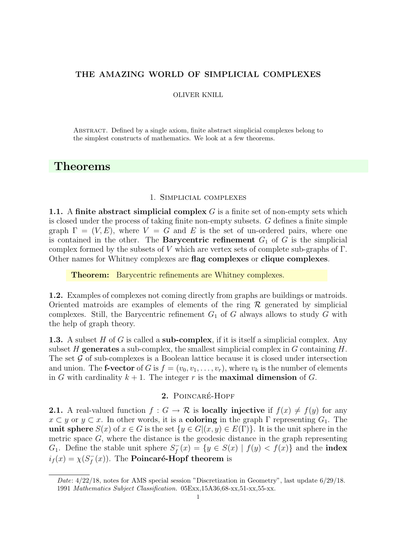#### OLIVER KNILL

Abstract. Defined by a single axiom, finite abstract simplicial complexes belong to the simplest constructs of mathematics. We look at a few theorems.

# Theorems

### 1. Simplicial complexes

1.1. A finite abstract simplicial complex  $G$  is a finite set of non-empty sets which is closed under the process of taking finite non-empty subsets. G defines a finite simple graph  $\Gamma = (V, E)$ , where  $V = G$  and E is the set of un-ordered pairs, where one is contained in the other. The **Barycentric refinement**  $G_1$  of G is the simplicial complex formed by the subsets of V which are vertex sets of complete sub-graphs of  $\Gamma$ . Other names for Whitney complexes are flag complexes or clique complexes.

Theorem: Barycentric refinements are Whitney complexes.

1.2. Examples of complexes not coming directly from graphs are buildings or matroids. Oriented matroids are examples of elements of the ring  $\mathcal R$  generated by simplicial complexes. Still, the Barycentric refinement  $G_1$  of G always allows to study G with the help of graph theory.

**1.3.** A subset H of G is called a sub-complex, if it is itself a simplicial complex. Any subset H generates a sub-complex, the smallest simplicial complex in  $G$  containing  $H$ . The set  $\mathcal G$  of sub-complexes is a Boolean lattice because it is closed under intersection and union. The **f-vector** of G is  $f = (v_0, v_1, \ldots, v_r)$ , where  $v_k$  is the number of elements in G with cardinality  $k + 1$ . The integer r is the **maximal dimension** of G.

# 2. POINCARÉ-HOPF

**2.1.** A real-valued function  $f : G \to \mathcal{R}$  is **locally injective** if  $f(x) \neq f(y)$  for any  $x \subset y$  or  $y \subset x$ . In other words, it is a **coloring** in the graph  $\Gamma$  representing  $G_1$ . The unit sphere  $S(x)$  of  $x \in G$  is the set  $\{y \in G | (x, y) \in E(\Gamma) \}$ . It is the unit sphere in the metric space  $G$ , where the distance is the geodesic distance in the graph representing  $G_1$ . Define the stable unit sphere  $S_f^$  $f_f^-(x) = \{ y \in S(x) \mid f(y) < f(x) \}$  and the **index**  $i_f(x) = \chi(S_f^-)$  $f^-_f(x)$ ). The **Poincaré-Hopf theorem** is

Date:  $4/22/18$ , notes for AMS special session "Discretization in Geometry", last update  $6/29/18$ . 1991 Mathematics Subject Classification. 05Exx,15A36,68-xx,51-xx,55-xx.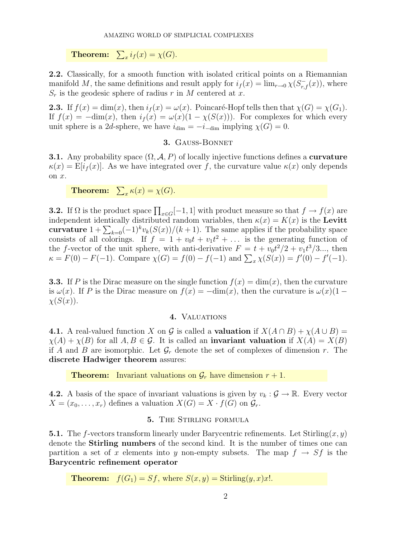**Theorem:**  $\sum_{x} i_f(x) = \chi(G)$ .

2.2. Classically, for a smooth function with isolated critical points on a Riemannian manifold M, the same definitions and result apply for  $i_f(x) = \lim_{r \to 0} \chi(S_{r,f}^-(x))$ , where  $S_r$  is the geodesic sphere of radius r in M centered at x.

**2.3.** If  $f(x) = \dim(x)$ , then  $i_f(x) = \omega(x)$ . Poincaré-Hopf tells then that  $\chi(G) = \chi(G_1)$ . If  $f(x) = -\dim(x)$ , then  $i_f(x) = \omega(x)(1 - \chi(S(x)))$ . For complexes for which every unit sphere is a 2d-sphere, we have  $i_{\text{dim}} = -i_{-\text{dim}}$  implying  $\chi(G) = 0$ .

# 3. Gauss-Bonnet

**3.1.** Any probability space  $(\Omega, \mathcal{A}, P)$  of locally injective functions defines a **curvature**  $\kappa(x) = \mathbb{E}[i_f(x)]$ . As we have integrated over f, the curvature value  $\kappa(x)$  only depends on x.

**Theorem:**  $\sum_{x} \kappa(x) = \chi(G)$ .

**3.2.** If  $\Omega$  is the product space  $\prod_{x \in G} [-1, 1]$  with product measure so that  $f \to f(x)$  are independent identically distributed random variables, then  $\kappa(x) = K(x)$  is the Levitt curvature  $1 + \sum_{k=0} (-1)^k v_k(S(x))/(k+1)$ . The same applies if the probability space consists of all colorings. If  $f = 1 + v_0 t + v_1 t^2 + \dots$  is the generating function of the f-vector of the unit sphere, with anti-derivative  $F = t + v_0 t^2/2 + v_1 t^3/3...$ , then  $\kappa = F(0) - F(-1)$ . Compare  $\chi(G) = f(0) - f(-1)$  and  $\sum_{x} \chi(S(x)) = f'(0) - f'(-1)$ .

**3.3.** If P is the Dirac measure on the single function  $f(x) = \dim(x)$ , then the curvature is  $\omega(x)$ . If P is the Dirac measure on  $f(x) = -\dim(x)$ , then the curvature is  $\omega(x)(1 \chi(S(x)).$ 

# 4. VALUATIONS

4.1. A real-valued function X on G is called a **valuation** if  $X(A \cap B) + \chi(A \cup B) =$  $\chi(A) + \chi(B)$  for all  $A, B \in \mathcal{G}$ . It is called an **invariant valuation** if  $X(A) = X(B)$ if A and B are isomorphic. Let  $\mathcal{G}_r$  denote the set of complexes of dimension r. The discrete Hadwiger theorem assures:

**Theorem:** Invariant valuations on  $\mathcal{G}_r$  have dimension  $r + 1$ .

**4.2.** A basis of the space of invariant valuations is given by  $v_k : \mathcal{G} \to \mathbb{R}$ . Every vector  $X = (x_0, \ldots, x_r)$  defines a valuation  $X(G) = X \cdot f(G)$  on  $\mathcal{G}_r$ .

# 5. THE STIRLING FORMULA

**5.1.** The f-vectors transform linearly under Barycentric refinements. Let  $Stirling(x, y)$ denote the Stirling numbers of the second kind. It is the number of times one can partition a set of x elements into y non-empty subsets. The map  $f \to Sf$  is the Barycentric refinement operator

**Theorem:**  $f(G_1) = Sf$ , where  $S(x, y) = \text{Stirling}(y, x)x!$ .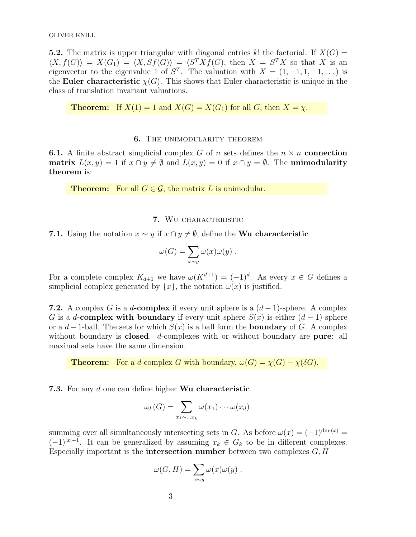OLIVER KNILL

**5.2.** The matrix is upper triangular with diagonal entries k! the factorial. If  $X(G)$  =  $\langle X, f(G) \rangle = X(G_1) = \langle X, Sf(G) \rangle = \langle S^T Xf(G), \text{ then } X = S^T X \text{ so that } X \text{ is an }$ eigenvector to the eigenvalue 1 of  $S<sup>T</sup>$ . The valuation with  $X = (1, -1, 1, -1, ...)$  is the Euler characteristic  $\chi(G)$ . This shows that Euler characteristic is unique in the class of translation invariant valuations.

**Theorem:** If  $X(1) = 1$  and  $X(G) = X(G_1)$  for all G, then  $X = \chi$ .

## 6. The unimodularity theorem

**6.1.** A finite abstract simplicial complex G of n sets defines the  $n \times n$  connection matrix  $L(x, y) = 1$  if  $x \cap y \neq \emptyset$  and  $L(x, y) = 0$  if  $x \cap y = \emptyset$ . The unimodularity theorem is:

**Theorem:** For all  $G \in \mathcal{G}$ , the matrix L is unimodular.

## 7. Wu characteristic

**7.1.** Using the notation  $x \sim y$  if  $x \cap y \neq \emptyset$ , define the Wu characteristic

$$
\omega(G) = \sum_{x \sim y} \omega(x) \omega(y) .
$$

For a complete complex  $K_{d+1}$  we have  $\omega(K^{d+1}) = (-1)^d$ . As every  $x \in G$  defines a simplicial complex generated by  $\{x\}$ , the notation  $\omega(x)$  is justified.

**7.2.** A complex G is a d-complex if every unit sphere is a  $(d-1)$ -sphere. A complex G is a d-complex with boundary if every unit sphere  $S(x)$  is either  $(d-1)$  sphere or a  $d-1$ -ball. The sets for which  $S(x)$  is a ball form the **boundary** of G. A complex without boundary is **closed**. d-complexes with or without boundary are **pure**: all maximal sets have the same dimension.

**Theorem:** For a d-complex G with boundary,  $\omega(G) = \chi(G) - \chi(\delta G)$ .

7.3. For any d one can define higher Wu characteristic

$$
\omega_k(G) = \sum_{x_1 \sim \dots x_k} \omega(x_1) \cdots \omega(x_d)
$$

summing over all simultaneously intersecting sets in G. As before  $\omega(x) = (-1)^{\dim(x)} =$  $(-1)^{|x|-1}$ . It can be generalized by assuming  $x_k \in G_k$  to be in different complexes. Especially important is the **intersection number** between two complexes  $G, H$ 

$$
\omega(G, H) = \sum_{x \sim y} \omega(x) \omega(y) .
$$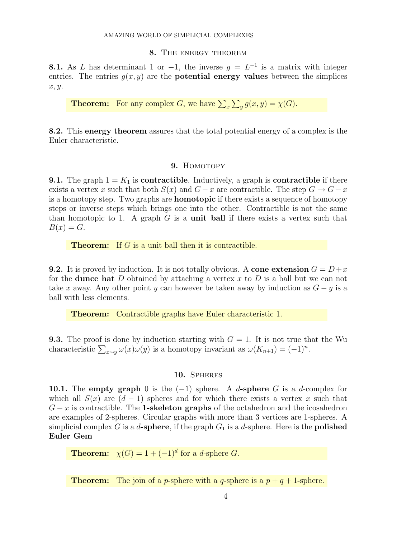## 8. The energy theorem

**8.1.** As L has determinant 1 or  $-1$ , the inverse  $g = L^{-1}$  is a matrix with integer entries. The entries  $q(x, y)$  are the **potential energy values** between the simplices x, y.

**Theorem:** For any complex G, we have  $\sum_{x} \sum_{y} g(x, y) = \chi(G)$ .

8.2. This energy theorem assures that the total potential energy of a complex is the Euler characteristic.

## 9. HOMOTOPY

**9.1.** The graph  $1 = K_1$  is **contractible**. Inductively, a graph is **contractible** if there exists a vertex x such that both  $S(x)$  and  $G - x$  are contractible. The step  $G \to G - x$ is a homotopy step. Two graphs are homotopic if there exists a sequence of homotopy steps or inverse steps which brings one into the other. Contractible is not the same than homotopic to 1. A graph  $G$  is a **unit ball** if there exists a vertex such that  $B(x) = G.$ 

**Theorem:** If G is a unit ball then it is contractible.

**9.2.** It is proved by induction. It is not totally obvious. A cone extension  $G = D + x$ for the **dunce hat** D obtained by attaching a vertex x to D is a ball but we can not take x away. Any other point y can however be taken away by induction as  $G - y$  is a ball with less elements.

Theorem: Contractible graphs have Euler characteristic 1.

**9.3.** The proof is done by induction starting with  $G = 1$ . It is not true that the Wu characteristic  $\sum_{x \sim y} \omega(x) \omega(y)$  is a homotopy invariant as  $\omega(K_{n+1}) = (-1)^n$ .

#### 10. Spheres

10.1. The empty graph 0 is the  $(-1)$  sphere. A d-sphere G is a d-complex for which all  $S(x)$  are  $(d-1)$  spheres and for which there exists a vertex x such that  $G - x$  is contractible. The **1-skeleton graphs** of the octahedron and the icosahedron are examples of 2-spheres. Circular graphs with more than 3 vertices are 1-spheres. A simplicial complex G is a d-sphere, if the graph  $G_1$  is a d-sphere. Here is the **polished** Euler Gem

**Theorem:**  $\chi(G) = 1 + (-1)^d$  for a *d*-sphere *G*.

**Theorem:** The join of a *p*-sphere with a *q*-sphere is a  $p + q + 1$ -sphere.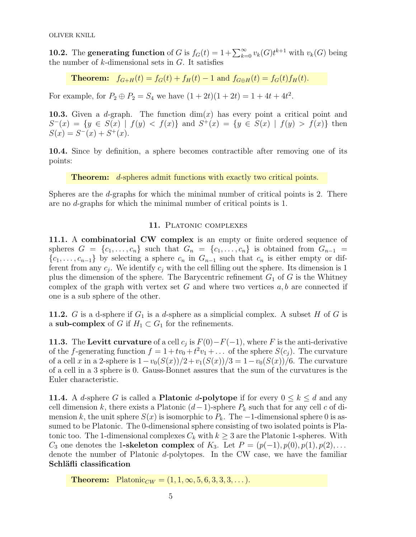**10.2.** The **generating function** of G is  $f_G(t) = 1 + \sum_{k=0}^{\infty} v_k(G)t^{k+1}$  with  $v_k(G)$  being the number of  $k$ -dimensional sets in  $G$ . It satisfies

Theorem:  $f_{G+H}(t) = f_G(t) + f_H(t) - 1$  and  $f_{G \oplus H}(t) = f_G(t) f_H(t)$ .

For example, for  $P_2 \oplus P_2 = S_4$  we have  $(1+2t)(1+2t) = 1 + 4t + 4t^2$ .

**10.3.** Given a d-graph. The function  $\dim(x)$  has every point a critical point and  $S^{-}(x) = \{y \in S(x) \mid f(y) < f(x)\}\$ and  $S^{+}(x) = \{y \in S(x) \mid f(y) > f(x)\}\$ then  $S(x) = S<sup>-</sup>(x) + S<sup>+</sup>(x).$ 

10.4. Since by definition, a sphere becomes contractible after removing one of its points:

**Theorem:** d-spheres admit functions with exactly two critical points.

Spheres are the  $d$ -graphs for which the minimal number of critical points is 2. There are no d-graphs for which the minimal number of critical points is 1.

# 11. PLATONIC COMPLEXES

11.1. A combinatorial CW complex is an empty or finite ordered sequence of spheres  $G = \{c_1, \ldots, c_n\}$  such that  $G_n = \{c_1, \ldots, c_n\}$  is obtained from  $G_{n-1}$  $\{c_1, \ldots, c_{n-1}\}\$ by selecting a sphere  $c_n$  in  $G_{n-1}$  such that  $c_n$  is either empty or different from any  $c_j$ . We identify  $c_j$  with the cell filling out the sphere. Its dimension is 1 plus the dimension of the sphere. The Barycentric refinement  $G_1$  of G is the Whitney complex of the graph with vertex set  $G$  and where two vertices  $a, b$  are connected if one is a sub sphere of the other.

**11.2.** G is a d-sphere if  $G_1$  is a d-sphere as a simplicial complex. A subset H of G is a sub-complex of G if  $H_1 \subset G_1$  for the refinements.

**11.3.** The Levitt curvature of a cell  $c_j$  is  $F(0) - F(-1)$ , where F is the anti-derivative of the f-generating function  $f = 1 + tv_0 + t^2v_1 + \dots$  of the sphere  $S(c_j)$ . The curvature of a cell x in a 2-sphere is  $1-v_0(S(x))/2+v_1(S(x))/3=1-v_0(S(x))/6$ . The curvature of a cell in a 3 sphere is 0. Gauss-Bonnet assures that the sum of the curvatures is the Euler characteristic.

**11.4.** A d-sphere G is called a **Platonic** d-**polytope** if for every  $0 \leq k \leq d$  and any cell dimension k, there exists a Platonic  $(d-1)$ -sphere  $P_k$  such that for any cell c of dimension k, the unit sphere  $S(x)$  is isomorphic to  $P_k$ . The  $-1$ -dimensional sphere 0 is assumed to be Platonic. The 0-dimensional sphere consisting of two isolated points is Platonic too. The 1-dimensional complexes  $C_k$  with  $k \geq 3$  are the Platonic 1-spheres. With  $C_3$  one denotes the 1-skeleton complex of  $K_3$ . Let  $P = (p(-1), p(0), p(1), p(2), \ldots)$ denote the number of Platonic d-polytopes. In the CW case, we have the familiar Schläfli classification

**Theorem:** Platonic<sub>CW</sub> =  $(1, 1, \infty, 5, 6, 3, 3, 3, ...)$ .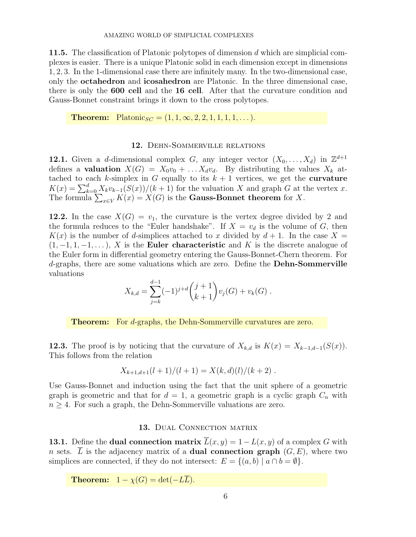**11.5.** The classification of Platonic polytopes of dimension  $d$  which are simplicial complexes is easier. There is a unique Platonic solid in each dimension except in dimensions 1, 2, 3. In the 1-dimensional case there are infinitely many. In the two-dimensional case, only the octahedron and icosahedron are Platonic. In the three dimensional case, there is only the 600 cell and the 16 cell. After that the curvature condition and Gauss-Bonnet constraint brings it down to the cross polytopes.

**Theorem:** Platonic<sub>SC</sub> =  $(1, 1, \infty, 2, 2, 1, 1, 1, 1, \ldots)$ .

## 12. Dehn-Sommerville relations

12.1. Given a d-dimensional complex G, any integer vector  $(X_0, \ldots, X_d)$  in  $\mathbb{Z}^{d+1}$ defines a **valuation**  $X(G) = X_0v_0 + \dots X_d v_d$ . By distributing the values  $X_k$  attached to each k-simplex in G equally to its  $k + 1$  vertices, we get the **curvature**  $K(x) = \sum_{k=0}^{d} X_k v_{k-1}(S(x))/(k+1)$  for the valuation X and graph G at the vertex x. The formula  $\sum_{x \in V} K(x) = X(G)$  is the **Gauss-Bonnet theorem** for X.

12.2. In the case  $X(G) = v_1$ , the curvature is the vertex degree divided by 2 and the formula reduces to the "Euler handshake". If  $X = v_d$  is the volume of G, then  $K(x)$  is the number of d-simplices attached to x divided by  $d+1$ . In the case  $X =$  $(1, -1, 1, -1, \ldots)$ , X is the **Euler characteristic** and K is the discrete analogue of the Euler form in differential geometry entering the Gauss-Bonnet-Chern theorem. For d-graphs, there are some valuations which are zero. Define the Dehn-Sommerville valuations

$$
X_{k,d} = \sum_{j=k}^{d-1} (-1)^{j+d} {j+1 \choose k+1} v_j(G) + v_k(G) .
$$

Theorem: For d-graphs, the Dehn-Sommerville curvatures are zero.

**12.3.** The proof is by noticing that the curvature of  $X_{k,d}$  is  $K(x) = X_{k-1,d-1}(S(x))$ . This follows from the relation

$$
X_{k+1,d+1}(l+1)/(l+1) = X(k,d)(l)/(k+2) .
$$

Use Gauss-Bonnet and induction using the fact that the unit sphere of a geometric graph is geometric and that for  $d = 1$ , a geometric graph is a cyclic graph  $C_n$  with  $n \geq 4$ . For such a graph, the Dehn-Sommerville valuations are zero.

## 13. DUAL CONNECTION MATRIX

**13.1.** Define the **dual connection matrix**  $L(x, y) = 1 - L(x, y)$  of a complex G with n sets.  $\overline{L}$  is the adjacency matrix of a **dual connection graph**  $(G, E)$ , where two simplices are connected, if they do not intersect:  $E = \{(a, b) | a \cap b = \emptyset\}.$ 

**Theorem:**  $1 - \chi(G) = \det(-L\overline{L}).$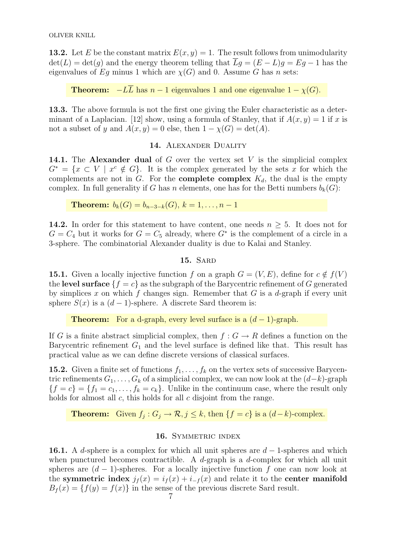**13.2.** Let E be the constant matrix  $E(x, y) = 1$ . The result follows from unimodularity  $\det(L) = \det(g)$  and the energy theorem telling that  $Lg = (E - L)g = Eg - 1$  has the eigenvalues of Eq minus 1 which are  $\chi(G)$  and 0. Assume G has n sets:

**Theorem:**  $-L\overline{L}$  has  $n-1$  eigenvalues 1 and one eigenvalue  $1 - \chi(G)$ .

13.3. The above formula is not the first one giving the Euler characteristic as a determinant of a Laplacian. [12] show, using a formula of Stanley, that if  $A(x, y) = 1$  if x is not a subset of y and  $A(x, y) = 0$  else, then  $1 - \chi(G) = \det(A)$ .

# 14. ALEXANDER DUALITY

**14.1.** The **Alexander dual** of G over the vertex set V is the simplicial complex  $G^* = \{x \subset V \mid x^c \notin G\}.$  It is the complex generated by the sets x for which the complements are not in  $G$ . For the **complete complex**  $K_d$ , the dual is the empty complex. In full generality if G has n elements, one has for the Betti numbers  $b_k(G)$ :

**Theorem:**  $b_k(G) = b_{n-3-k}(G), k = 1, ..., n-1$ 

**14.2.** In order for this statement to have content, one needs  $n \geq 5$ . It does not for  $G = C_4$  but it works for  $G = C_5$  already, where  $G^*$  is the complement of a circle in a 3-sphere. The combinatorial Alexander duality is due to Kalai and Stanley.

## 15. SARD

**15.1.** Given a locally injective function f on a graph  $G = (V, E)$ , define for  $c \notin f(V)$ the level surface  $\{f = c\}$  as the subgraph of the Barycentric refinement of G generated by simplices x on which f changes sign. Remember that  $G$  is a d-graph if every unit sphere  $S(x)$  is a  $(d-1)$ -sphere. A discrete Sard theorem is:

**Theorem:** For a d-graph, every level surface is a  $(d-1)$ -graph.

If G is a finite abstract simplicial complex, then  $f: G \to R$  defines a function on the Barycentric refinement  $G_1$  and the level surface is defined like that. This result has practical value as we can define discrete versions of classical surfaces.

**15.2.** Given a finite set of functions  $f_1, \ldots, f_k$  on the vertex sets of successive Barycentric refinements  $G_1, \ldots, G_k$  of a simplicial complex, we can now look at the  $(d-k)$ -graph  ${f = c} = {f<sub>1</sub> = c<sub>1</sub>, ..., f<sub>k</sub> = c<sub>k</sub>}.$  Unlike in the continuum case, where the result only holds for almost all  $c$ , this holds for all  $c$  disjoint from the range.

**Theorem:** Given  $f_j: G_j \to \mathcal{R}, j \leq k$ , then  $\{f = c\}$  is a  $(d-k)$ -complex.

# 16. SYMMETRIC INDEX

16.1. A d-sphere is a complex for which all unit spheres are  $d-1$ -spheres and which when punctured becomes contractible. A  $d$ -graph is a  $d$ -complex for which all unit spheres are  $(d-1)$ -spheres. For a locally injective function f one can now look at the symmetric index  $j_f(x) = i_f(x) + i_{-f}(x)$  and relate it to the center manifold  $B_f(x) = \{f(y) = f(x)\}\$ in the sense of the previous discrete Sard result.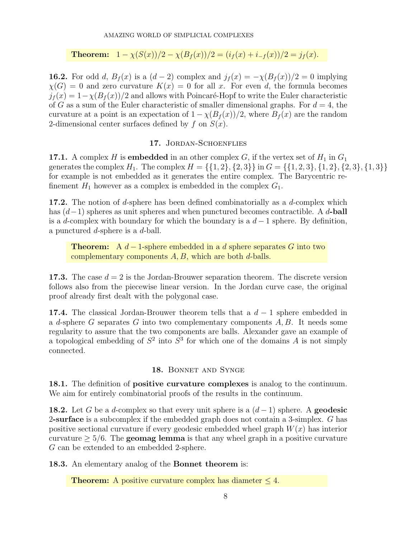**Theorem:**  $1 - \chi(S(x))/2 - \chi(B_f(x))/2 = (i_f(x) + i_{-f}(x))/2 = j_f(x)$ .

**16.2.** For odd d,  $B_f(x)$  is a  $(d-2)$  complex and  $j_f(x) = -\chi(B_f(x))/2 = 0$  implying  $\chi(G) = 0$  and zero curvature  $K(x) = 0$  for all x. For even d, the formula becomes  $j_f(x) = 1-\chi(B_f(x))/2$  and allows with Poincaré-Hopf to write the Euler characteristic of G as a sum of the Euler characteristic of smaller dimensional graphs. For  $d = 4$ , the curvature at a point is an expectation of  $1 - \chi(B_f(x))/2$ , where  $B_f(x)$  are the random 2-dimensional center surfaces defined by f on  $S(x)$ .

## 17. JORDAN-SCHOENFLIES

**17.1.** A complex H is **embedded** in an other complex G, if the vertex set of  $H_1$  in  $G_1$ generates the complex  $H_1$ . The complex  $H = \{\{1, 2\}, \{2, 3\}\}\$  in  $G = \{\{1, 2, 3\}, \{1, 2\}, \{2, 3\}, \{1, 3\}\}\$ for example is not embedded as it generates the entire complex. The Barycentric refinement  $H_1$  however as a complex is embedded in the complex  $G_1$ .

17.2. The notion of d-sphere has been defined combinatorially as a d-complex which has  $(d-1)$  spheres as unit spheres and when punctured becomes contractible. A d-ball is a d-complex with boundary for which the boundary is a  $d-1$  sphere. By definition, a punctured  $d$ -sphere is a  $d$ -ball.

**Theorem:** A  $d-1$ -sphere embedded in a d sphere separates G into two complementary components  $A, B$ , which are both  $d$ -balls.

**17.3.** The case  $d = 2$  is the Jordan-Brouwer separation theorem. The discrete version follows also from the piecewise linear version. In the Jordan curve case, the original proof already first dealt with the polygonal case.

**17.4.** The classical Jordan-Brouwer theorem tells that a  $d-1$  sphere embedded in a d-sphere G separates G into two complementary components  $A, B$ . It needs some regularity to assure that the two components are balls. Alexander gave an example of a topological embedding of  $S^2$  into  $S^3$  for which one of the domains A is not simply connected.

# 18. Bonnet and Synge

18.1. The definition of positive curvature complexes is analog to the continuum. We aim for entirely combinatorial proofs of the results in the continuum.

**18.2.** Let G be a d-complex so that every unit sphere is a  $(d-1)$  sphere. A **geodesic** 2-surface is a subcomplex if the embedded graph does not contain a 3-simplex. G has positive sectional curvature if every geodesic embedded wheel graph  $W(x)$  has interior curvature  $\geq 5/6$ . The **geomag lemma** is that any wheel graph in a positive curvature G can be extended to an embedded 2-sphere.

18.3. An elementary analog of the Bonnet theorem is:

**Theorem:** A positive curvature complex has diameter  $\leq 4$ .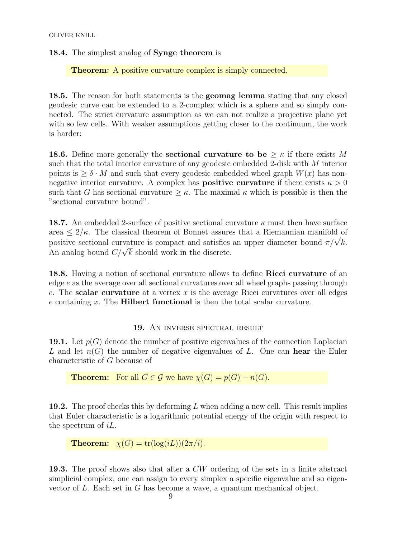18.4. The simplest analog of Synge theorem is

Theorem: A positive curvature complex is simply connected.

18.5. The reason for both statements is the geomag lemma stating that any closed geodesic curve can be extended to a 2-complex which is a sphere and so simply connected. The strict curvature assumption as we can not realize a projective plane yet with so few cells. With weaker assumptions getting closer to the continuum, the work is harder:

**18.6.** Define more generally the **sectional curvature to be**  $\geq \kappa$  if there exists M such that the total interior curvature of any geodesic embedded 2-disk with M interior points is  $\geq \delta \cdot M$  and such that every geodesic embedded wheel graph  $W(x)$  has nonnegative interior curvature. A complex has **positive curvature** if there exists  $\kappa > 0$ such that G has sectional curvature  $\geq \kappa$ . The maximal  $\kappa$  which is possible is then the "sectional curvature bound".

**18.7.** An embedded 2-surface of positive sectional curvature  $\kappa$  must then have surface area  $\leq 2/\kappa$ . The classical theorem of Bonnet assures that a Riemannian manifold of area  $\leq$   $z/\kappa$ . The classical theorem of Bonnet assures that a Klemannian manifold of positive sectional curvature is compact and satisfies an upper diameter bound  $\pi/\sqrt{k}$ . positive sectional curvature is compact and satisfies<br>An analog bound  $C/\sqrt{k}$  should work in the discrete.

18.8. Having a notion of sectional curvature allows to define Ricci curvature of an edge e as the average over all sectional curvatures over all wheel graphs passing through e. The scalar curvature at a vertex  $x$  is the average Ricci curvatures over all edges  $e$  containing  $x$ . The **Hilbert functional** is then the total scalar curvature.

## 19. An inverse spectral result

**19.1.** Let  $p(G)$  denote the number of positive eigenvalues of the connection Laplacian L and let  $n(G)$  the number of negative eigenvalues of L. One can **hear** the Euler characteristic of G because of

**Theorem:** For all 
$$
G \in \mathcal{G}
$$
 we have  $\chi(G) = p(G) - n(G)$ .

**19.2.** The proof checks this by deforming L when adding a new cell. This result implies that Euler characteristic is a logarithmic potential energy of the origin with respect to the spectrum of iL.

**Theorem:**  $\chi(G) = \text{tr}(\log(iL))(2\pi/i)$ .

19.3. The proof shows also that after a CW ordering of the sets in a finite abstract simplicial complex, one can assign to every simplex a specific eigenvalue and so eigenvector of L. Each set in G has become a wave, a quantum mechanical object.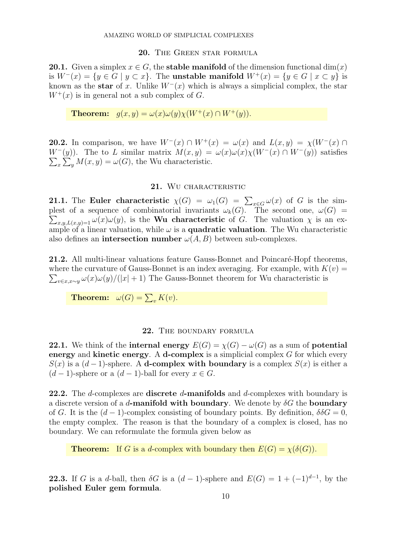## 20. THE GREEN STAR FORMULA

**20.1.** Given a simplex  $x \in G$ , the **stable manifold** of the dimension functional dim $(x)$ is  $W^-(x) = \{y \in G \mid y \subset x\}$ . The unstable manifold  $W^+(x) = \{y \in G \mid x \subset y\}$  is known as the star of x. Unlike  $W^-(x)$  which is always a simplicial complex, the star  $W^+(x)$  is in general not a sub complex of G.

**Theorem:**  $g(x, y) = \omega(x)\omega(y)\chi(W^+(x) \cap W^+(y)).$ 

**20.2.** In comparison, we have  $W^{-}(x) \cap W^{+}(x) = \omega(x)$  and  $L(x, y) = \chi(W^{-}(x) \cap W^{-}(x))$  $W^-(y)$ ). The to L similar matrix  $M(x, y) = \omega(x)\omega(x)\chi(W^-(x) \cap W^-(y))$  satisfies  $\sum_{x} \sum_{y} M(x, y) = \omega(G)$ , the Wu characteristic.

## 21. WU CHARACTERISTIC

**21.1.** The Euler characteristic  $\chi(G) = \omega_1(G) = \sum_{x \in G} \omega(x)$  of G is the simplest of a sequence of combinatorial invariants  $\omega_k(G)$ . The second one,  $\omega(G)$  =  $\sum_{x,y,L(x,y)=1} \omega(x)\omega(y)$ , is the **Wu characteristic** of G. The valuation  $\chi$  is an example of a linear valuation, while  $\omega$  is a **quadratic valuation**. The Wu characteristic also defines an **intersection number**  $\omega(A, B)$  between sub-complexes.

**21.2.** All multi-linear valuations feature Gauss-Bonnet and Poincaré-Hopf theorems,  $\sum_{v \in x, x \sim y} \omega(x) \omega(y) / (|x| + 1)$  The Gauss-Bonnet theorem for Wu characteristic is where the curvature of Gauss-Bonnet is an index averaging. For example, with  $K(v) =$ 

**Theorem:**  $\omega(G) = \sum_{v} K(v)$ .

## 22. THE BOUNDARY FORMULA

**22.1.** We think of the internal energy  $E(G) = \chi(G) - \omega(G)$  as a sum of potential energy and kinetic energy. A d-complex is a simplicial complex  $G$  for which every  $S(x)$  is a  $(d-1)$ -sphere. A **d-complex with boundary** is a complex  $S(x)$  is either a  $(d-1)$ -sphere or a  $(d-1)$ -ball for every  $x \in G$ .

22.2. The d-complexes are **discrete** d-manifolds and d-complexes with boundary is a discrete version of a d-manifold with boundary. We denote by  $\delta G$  the boundary of G. It is the  $(d-1)$ -complex consisting of boundary points. By definition,  $\delta \delta G = 0$ , the empty complex. The reason is that the boundary of a complex is closed, has no boundary. We can reformulate the formula given below as

**Theorem:** If G is a d-complex with boundary then  $E(G) = \chi(\delta(G))$ .

**22.3.** If G is a d-ball, then  $\delta G$  is a  $(d-1)$ -sphere and  $E(G) = 1 + (-1)^{d-1}$ , by the polished Euler gem formula.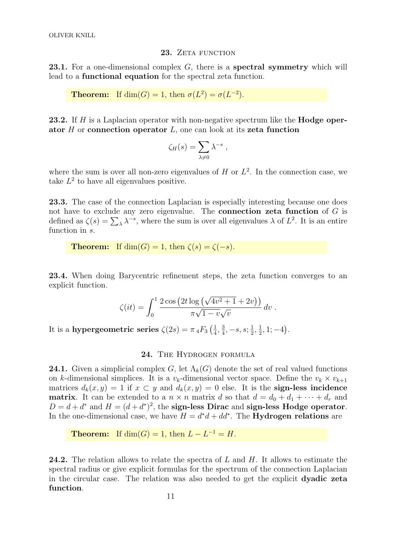#### 23. ZETA FUNCTION

**23.1.** For a one-dimensional complex  $G$ , there is a spectral symmetry which will lead to a functional equation for the spectral zeta function.

**Theorem:** If  $\dim(G) = 1$ , then  $\sigma(L^2) = \sigma(L^{-2})$ .

23.2. If H is a Laplacian operator with non-negative spectrum like the **Hodge oper**ator  $H$  or connection operator  $L$ , one can look at its zeta function

$$
\zeta_H(s) = \sum_{\lambda \neq 0} \lambda^{-s} ,
$$

where the sum is over all non-zero eigenvalues of  $H$  or  $L^2$ . In the connection case, we take  $L^2$  to have all eigenvalues positive.

23.3. The case of the connection Laplacian is especially interesting because one does not have to exclude any zero eigenvalue. The **connection zeta function** of  $G$  is defined as  $\zeta(s) = \sum_{\lambda} \lambda^{-s}$ , where the sum is over all eigenvalues  $\lambda$  of  $L^2$ . It is an entire function in s.

**Theorem:** If  $dim(G) = 1$ , then  $\zeta(s) = \zeta(-s)$ .

23.4. When doing Barycentric refinement steps, the zeta function converges to an explicit function.

$$
\zeta(it) = \int_0^1 \frac{2 \cos (2t \log (\sqrt{4v^2 + 1} + 2v))}{\pi \sqrt{1 - v} \sqrt{v}} dv.
$$

It is a hypergeometric series  $\zeta(2s) = \pi 4F_3\left(\frac{1}{4}\right)$  $\frac{1}{4}$ ,  $\frac{3}{4}$  $\frac{3}{4}, -s, s; \frac{1}{2}$  $\frac{1}{2}, \frac{1}{2}$  $\frac{1}{2}$ , 1; -4).

24. THE HYDROGEN FORMULA

**24.1.** Given a simplicial complex G, let  $\Lambda_k(G)$  denote the set of real valued functions on k-dimensional simplices. It is a  $v_k$ -dimensional vector space. Define the  $v_k \times v_{k+1}$ matrices  $d_k(x, y) = 1$  if  $x \subset y$  and  $d_k(x, y) = 0$  else. It is the **sign-less incidence matrix**. It can be extended to a  $n \times n$  matrix d so that  $d = d_0 + d_1 + \cdots + d_r$  and  $D = d + d^*$  and  $H = (d + d^*)^2$ , the sign-less Dirac and sign-less Hodge operator. In the one-dimensional case, we have  $H = d^*d + dd^*$ . The **Hydrogen relations** are

**Theorem:** If  $dim(G) = 1$ , then  $L - L^{-1} = H$ .

**24.2.** The relation allows to relate the spectra of L and H. It allows to estimate the spectral radius or give explicit formulas for the spectrum of the connection Laplacian in the circular case. The relation was also needed to get the explicit dyadic zeta function.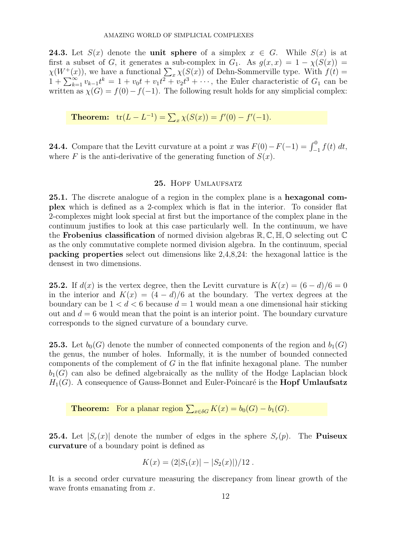**24.3.** Let  $S(x)$  denote the **unit sphere** of a simplex  $x \in G$ . While  $S(x)$  is at first a subset of G, it generates a sub-complex in  $G_1$ . As  $g(x, x) = 1 - \chi(S(x)) =$  $\chi(W^+(x))$ , we have a functional  $\sum_x \chi(S(x))$  of Dehn-Sommerville type. With  $f(t) =$  $1 + \sum_{k=1}^{\infty} v_{k-1}t^k = 1 + v_0t + v_1t^2 + v_2t^3 + \cdots$ , the Euler characteristic of  $G_1$  can be written as  $\chi(G) = f(0) - f(-1)$ . The following result holds for any simplicial complex:

**Theorem:**  $tr(L - L^{-1}) = \sum_x \chi(S(x)) = f'(0) - f'(-1)$ .

**24.4.** Compare that the Levitt curvature at a point x was  $F(0) - F(-1) = \int_{-1}^{0} f(t) dt$ , where F is the anti-derivative of the generating function of  $S(x)$ .

# 25. HOPF UMLAUFSATZ

25.1. The discrete analogue of a region in the complex plane is a hexagonal complex which is defined as a 2-complex which is flat in the interior. To consider flat 2-complexes might look special at first but the importance of the complex plane in the continuum justifies to look at this case particularly well. In the continuum, we have the **Frobenius classification** of normed division algebras  $\mathbb{R}, \mathbb{C}, \mathbb{H}, \mathbb{O}$  selecting out  $\mathbb{C}$ as the only commutative complete normed division algebra. In the continuum, special packing properties select out dimensions like 2,4,8,24: the hexagonal lattice is the densest in two dimensions.

**25.2.** If  $d(x)$  is the vertex degree, then the Levitt curvature is  $K(x) = (6 - d)/6 = 0$ in the interior and  $K(x) = (4 - d)/6$  at the boundary. The vertex degrees at the boundary can be  $1 < d < 6$  because  $d = 1$  would mean a one dimensional hair sticking out and  $d = 6$  would mean that the point is an interior point. The boundary curvature corresponds to the signed curvature of a boundary curve.

**25.3.** Let  $b_0(G)$  denote the number of connected components of the region and  $b_1(G)$ the genus, the number of holes. Informally, it is the number of bounded connected components of the complement of G in the flat infinite hexagonal plane. The number  $b_1(G)$  can also be defined algebraically as the nullity of the Hodge Laplacian block  $H_1(G)$ . A consequence of Gauss-Bonnet and Euler-Poincaré is the **Hopf Umlaufsatz** 

**Theorem:** For a planar region  $\sum_{x \in \delta G} K(x) = b_0(G) - b_1(G)$ .

**25.4.** Let  $|S_r(x)|$  denote the number of edges in the sphere  $S_r(p)$ . The **Puiseux** curvature of a boundary point is defined as

$$
K(x) = (2|S_1(x)| - |S_2(x)|)/12.
$$

It is a second order curvature measuring the discrepancy from linear growth of the wave fronts emanating from x.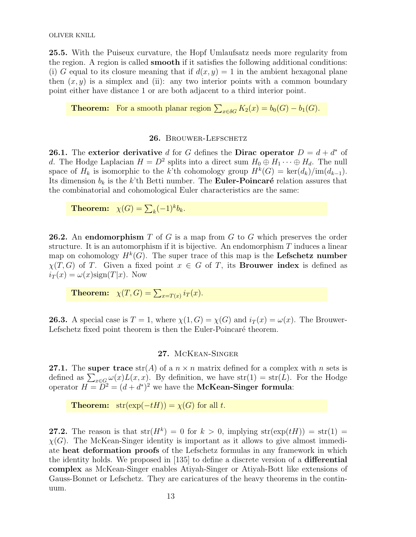25.5. With the Puiseux curvature, the Hopf Umlaufsatz needs more regularity from the region. A region is called smooth if it satisfies the following additional conditions: (i) G equal to its closure meaning that if  $d(x, y) = 1$  in the ambient hexagonal plane then  $(x, y)$  is a simplex and (ii): any two interior points with a common boundary point either have distance 1 or are both adjacent to a third interior point.

**Theorem:** For a smooth planar region  $\sum_{x \in \delta G} K_2(x) = b_0(G) - b_1(G)$ .

## 26. BROUWER-LEFSCHETZ

26.1. The exterior derivative d for G defines the Dirac operator  $D = d + d^*$  of d. The Hodge Laplacian  $H = D^2$  splits into a direct sum  $H_0 \oplus H_1 \cdots \oplus H_d$ . The null space of  $H_k$  is isomorphic to the k'th cohomology group  $H^k(G) = \text{ker}(d_k)/\text{im}(d_{k-1}).$ Its dimension  $b_k$  is the k'th Betti number. The **Euler-Poincaré** relation assures that the combinatorial and cohomological Euler characteristics are the same:

**Theorem:**  $\chi(G) = \sum_k (-1)^k b_k$ .

**26.2.** An endomorphism T of G is a map from G to G which preserves the order structure. It is an automorphism if it is bijective. An endomorphism  $T$  induces a linear map on cohomology  $H^k(G)$ . The super trace of this map is the Lefschetz number  $\chi(T, G)$  of T. Given a fixed point  $x \in G$  of T, its **Brouwer index** is defined as  $i_T(x) = \omega(x)$ sign $(T|x)$ . Now

**Theorem:**  $\chi(T, G) = \sum_{x=T(x)} i_T(x)$ .

**26.3.** A special case is  $T = 1$ , where  $\chi(1, G) = \chi(G)$  and  $i_T(x) = \omega(x)$ . The Brouwer-Lefschetz fixed point theorem is then the Euler-Poincaré theorem.

# 27. McKean-Singer

**27.1.** The super trace  $str(A)$  of a  $n \times n$  matrix defined for a complex with n sets is defined as  $\sum_{x \in G} \omega(x) L(x, x)$ . By definition, we have str(1) = str(L). For the Hodge operator  $H = D^2 = (d + d^*)^2$  we have the McKean-Singer formula:

**Theorem:**  $\text{str}(\exp(-tH)) = \chi(G)$  for all t.

**27.2.** The reason is that  $str(H^k) = 0$  for  $k > 0$ , implying  $str(exp(tH)) = str(1) =$  $\chi(G)$ . The McKean-Singer identity is important as it allows to give almost immediate heat deformation proofs of the Lefschetz formulas in any framework in which the identity holds. We proposed in [135] to define a discrete version of a differential complex as McKean-Singer enables Atiyah-Singer or Atiyah-Bott like extensions of Gauss-Bonnet or Lefschetz. They are caricatures of the heavy theorems in the continuum.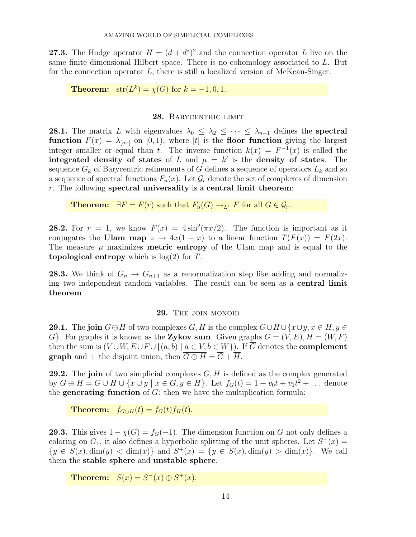**27.3.** The Hodge operator  $H = (d + d^*)^2$  and the connection operator L live on the same finite dimensional Hilbert space. There is no cohomology associated to L. But for the connection operator  $L$ , there is still a localized version of McKean-Singer:

**Theorem:**  $\text{str}(L^k) = \chi(G)$  for  $k = -1, 0, 1$ .

## 28. BARYCENTRIC LIMIT

**28.1.** The matrix L with eigenvalues  $\lambda_0 \leq \lambda_2 \leq \cdots \leq \lambda_{n-1}$  defines the **spectral** function  $F(x) = \lambda_{[nx]}$  on [0, 1], where [t] is the floor function giving the largest integer smaller or equal than t. The inverse function  $k(x) = F^{-1}(x)$  is called the integrated density of states of L and  $\mu = k'$  is the density of states. The sequence  $G_k$  of Barycentric refinements of G defines a sequence of operators  $L_k$  and so a sequence of spectral functions  $F_n(x)$ . Let  $\mathcal{G}_r$  denote the set of complexes of dimension  $r$ . The following spectral universality is a central limit theorem:

**Theorem:**  $\exists F = F(r)$  such that  $F_n(G) \rightarrow_{L^1} F$  for all  $G \in \mathcal{G}_r$ .

**28.2.** For  $r = 1$ , we know  $F(x) = 4\sin^2(\pi x/2)$ . The function is important as it conjugates the Ulam map  $z \to 4x(1-x)$  to a linear function  $T(F(x)) = F(2x)$ . The measure  $\mu$  maximizes **metric entropy** of the Ulam map and is equal to the topological entropy which is  $log(2)$  for T.

**28.3.** We think of  $G_n \to G_{n+1}$  as a renormalization step like adding and normalizing two independent random variables. The result can be seen as a central limit theorem.

## 29. THE JOIN MONOID

**29.1.** The join  $G \oplus H$  of two complexes  $G, H$  is the complex  $G \cup H \cup \{x \cup y, x \in H, y \in H\}$ G}. For graphs it is known as the Zykov sum. Given graphs  $G = (V, E), H = (W, F)$ then the sum is  $(V \cup W, E \cup F \cup \{(a, b) \mid a \in V, b \in W\})$ . If  $\overline{G}$  denotes the **complement graph** and + the disjoint union, then  $\overline{G \oplus H} = \overline{G} + \overline{H}$ .

**29.2.** The join of two simplicial complexes  $G, H$  is defined as the complex generated by  $G \oplus H = G \cup H \cup \{x \cup y \mid x \in G, y \in H\}$ . Let  $f_G(t) = 1 + v_0 t + v_1 t^2 + ...$  denote the **generating function** of  $G$ : then we have the multiplication formula:

**Theorem:**  $f_{G \oplus H}(t) = f_G(t) f_H(t)$ .

**29.3.** This gives  $1 - \chi(G) = f_G(-1)$ . The dimension function on G not only defines a coloring on  $G_1$ , it also defines a hyperbolic splitting of the unit spheres. Let  $S^-(x)$  =  ${y \in S(x), \dim(y) < \dim(x)}$  and  $S^+(x) = {y \in S(x), \dim(y) > \dim(x)}$ . We call them the stable sphere and unstable sphere.

Theorem:  $S(x) = S<sup>-</sup>(x) \oplus S<sup>+</sup>(x)$ .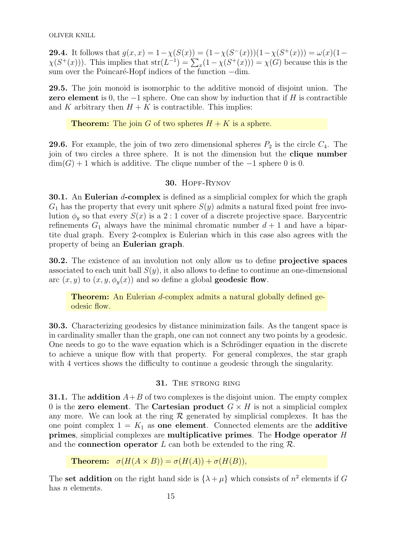**29.4.** It follows that  $g(x, x) = 1 - \chi(S(x)) = (1 - \chi(S^{-}(x)))(1 - \chi(S^{+}(x))) = \omega(x)(1 - \chi(S^{-}(x)))$  $\chi(S^+(x))$ ). This implies that  $str(L^{-1}) = \sum_x (1 - \chi(S^+(x))) = \chi(G)$  because this is the sum over the Poincaré-Hopf indices of the function  $-\dim$ .

29.5. The join monoid is isomorphic to the additive monoid of disjoint union. The **zero element** is 0, the  $-1$  sphere. One can show by induction that if H is contractible and K arbitrary then  $H + K$  is contractible. This implies:

**Theorem:** The join G of two spheres  $H + K$  is a sphere.

**29.6.** For example, the join of two zero dimensional spheres  $P_2$  is the circle  $C_4$ . The join of two circles a three sphere. It is not the dimension but the clique number  $dim(G) + 1$  which is additive. The clique number of the  $-1$  sphere 0 is 0.

# 30. Hopf-Rynov

**30.1.** An Eulerian *d*-complex is defined as a simplicial complex for which the graph  $G_1$  has the property that every unit sphere  $S(y)$  admits a natural fixed point free involution  $\phi_y$  so that every  $S(x)$  is a 2 : 1 cover of a discrete projective space. Barycentric refinements  $G_1$  always have the minimal chromatic number  $d+1$  and have a bipartite dual graph. Every 2-complex is Eulerian which in this case also agrees with the property of being an Eulerian graph.

30.2. The existence of an involution not only allow us to define projective spaces associated to each unit ball  $S(y)$ , it also allows to define to continue an one-dimensional arc  $(x, y)$  to  $(x, y, \phi_y(x))$  and so define a global **geodesic flow**.

**Theorem:** An Eulerian d-complex admits a natural globally defined geodesic flow.

30.3. Characterizing geodesics by distance minimization fails. As the tangent space is in cardinality smaller than the graph, one can not connect any two points by a geodesic. One needs to go to the wave equation which is a Schrödinger equation in the discrete to achieve a unique flow with that property. For general complexes, the star graph with 4 vertices shows the difficulty to continue a geodesic through the singularity.

# 31. THE STRONG RING

**31.1.** The addition  $A+B$  of two complexes is the disjoint union. The empty complex 0 is the zero element. The Cartesian product  $G \times H$  is not a simplicial complex any more. We can look at the ring  $\mathcal R$  generated by simplicial complexes. It has the one point complex  $1 = K_1$  as one element. Connected elements are the additive primes, simplicial complexes are multiplicative primes. The Hodge operator H and the **connection operator** L can both be extended to the ring  $\mathcal{R}$ .

**Theorem:**  $\sigma(H(A \times B)) = \sigma(H(A)) + \sigma(H(B)),$ 

The set addition on the right hand side is  $\{\lambda + \mu\}$  which consists of  $n^2$  elements if G has *n* elements.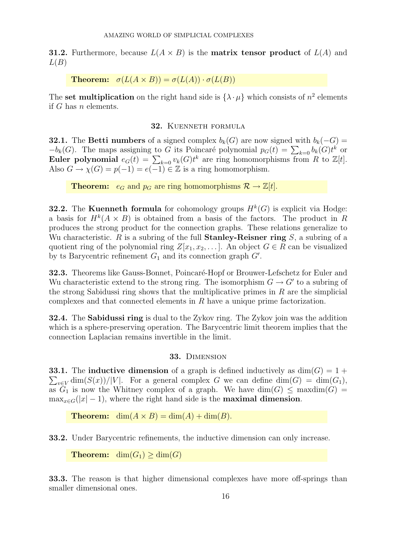**31.2.** Furthermore, because  $L(A \times B)$  is the **matrix tensor product** of  $L(A)$  and  $L(B)$ 

**Theorem:**  $\sigma(L(A \times B)) = \sigma(L(A)) \cdot \sigma(L(B))$ 

The set multiplication on the right hand side is  $\{\lambda \cdot \mu\}$  which consists of  $n^2$  elements if G has n elements.

# 32. Kuenneth formula

**32.1.** The Betti numbers of a signed complex  $b_k(G)$  are now signed with  $b_k(-G)$  =  $-b_k(G)$ . The maps assigning to G its Poincaré polynomial  $p_G(t) = \sum_{k=0} b_k(G)t^k$  or Euler polynomial  $e_G(t) = \sum_{k=0} v_k(G)t^k$  are ring homomorphisms from R to  $\mathbb{Z}[t]$ . Also  $G \to \chi(G) = p(-1) = e(-1) \in \mathbb{Z}$  is a ring homomorphism.

**Theorem:**  $e_G$  and  $p_G$  are ring homomorphisms  $\mathcal{R} \to \mathbb{Z}[t]$ .

**32.2.** The Kuenneth formula for cohomology groups  $H^k(G)$  is explicit via Hodge: a basis for  $H^k(A \times B)$  is obtained from a basis of the factors. The product in R produces the strong product for the connection graphs. These relations generalize to Wu characteristic. R is a subring of the full **Stanley-Reisner ring**  $S$ , a subring of a quotient ring of the polynomial ring  $Z[x_1, x_2, \ldots]$ . An object  $G \in R$  can be visualized by ts Barycentric refinement  $G_1$  and its connection graph  $G'$ .

**32.3.** Theorems like Gauss-Bonnet, Poincaré-Hopf or Brouwer-Lefschetz for Euler and Wu characteristic extend to the strong ring. The isomorphism  $G \to G'$  to a subring of the strong Sabidussi ring shows that the multiplicative primes in  $R$  are the simplicial complexes and that connected elements in R have a unique prime factorization.

32.4. The Sabidussi ring is dual to the Zykov ring. The Zykov join was the addition which is a sphere-preserving operation. The Barycentric limit theorem implies that the connection Laplacian remains invertible in the limit.

# 33. Dimension

 $\sum_{v \in V} \dim(S(x))/|V|$ . For a general complex G we can define  $\dim(G) = \dim(G_1)$ , **33.1.** The inductive dimension of a graph is defined inductively as  $dim(G) = 1 +$ as  $G_1$  is now the Whitney complex of a graph. We have  $\dim(G) \leq \max \dim(G) =$  $\max_{x \in G}(|x| - 1)$ , where the right hand side is the **maximal dimension**.

**Theorem:** dim $(A \times B) = \dim(A) + \dim(B)$ .

33.2. Under Barycentric refinements, the inductive dimension can only increase.

**Theorem:** dim $(G_1) \geq$  dim $(G)$ 

33.3. The reason is that higher dimensional complexes have more off-springs than smaller dimensional ones.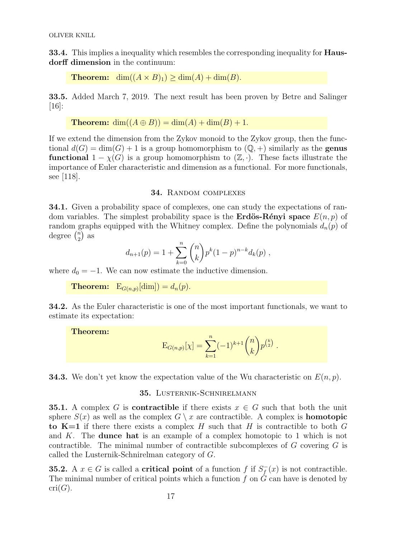**33.4.** This implies a inequality which resembles the corresponding inequality for **Haus**dorff dimension in the continuum:

**Theorem:** dim $((A \times B)_1) \geq \dim(A) + \dim(B)$ .

33.5. Added March 7, 2019. The next result has been proven by Betre and Salinger [16]:

**Theorem:** 
$$
\dim((A \oplus B)) = \dim(A) + \dim(B) + 1
$$
.

If we extend the dimension from the Zykov monoid to the Zykov group, then the functional  $d(G) = \dim(G) + 1$  is a group homomorphism to  $(\mathbb{Q}, +)$  similarly as the **genus functional**  $1 - \chi(G)$  is a group homomorphism to  $(\mathbb{Z}, \cdot)$ . These facts illustrate the importance of Euler characteristic and dimension as a functional. For more functionals, see [118].

#### 34. Random complexes

34.1. Given a probability space of complexes, one can study the expectations of random variables. The simplest probability space is the **Erdös-Rényi space**  $E(n, p)$  of random graphs equipped with the Whitney complex. Define the polynomials  $d_n(p)$  of degree  $\binom{n}{2}$  $n \choose 2$  as

$$
d_{n+1}(p) = 1 + \sum_{k=0}^{n} {n \choose k} p^{k} (1-p)^{n-k} d_{k}(p) ,
$$

where  $d_0 = -1$ . We can now estimate the inductive dimension.

**Theorem:**  $E_{G(n,p)}[\text{dim}]) = d_n(p)$ .

34.2. As the Euler characteristic is one of the most important functionals, we want to estimate its expectation:

Theorem:

$$
E_{G(n,p)}[\chi] = \sum_{k=1}^{n} (-1)^{k+1} {n \choose k} p^{\binom{k}{2}}.
$$

**34.3.** We don't yet know the expectation value of the Wu characteristic on  $E(n, p)$ .

# 35. LUSTERNIK-SCHNIRELMANN

**35.1.** A complex G is **contractible** if there exists  $x \in G$  such that both the unit sphere  $S(x)$  as well as the complex  $G \setminus x$  are contractible. A complex is **homotopic** to  $K=1$  if there there exists a complex H such that H is contractible to both G and K. The dunce hat is an example of a complex homotopic to 1 which is not contractible. The minimal number of contractible subcomplexes of G covering G is called the Lusternik-Schnirelman category of G.

**35.2.** A  $x \in G$  is called a **critical point** of a function f if  $S_f^$  $f_{f}^{-}(x)$  is not contractible. The minimal number of critical points which a function f on  $\dot{G}$  can have is denoted by  $cri(G).$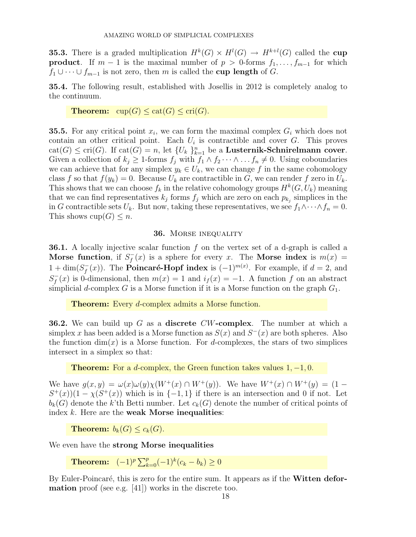**35.3.** There is a graded multiplication  $H^k(G) \times H^l(G) \to H^{k+l}(G)$  called the cup **product**. If  $m-1$  is the maximal number of  $p > 0$ -forms  $f_1, \ldots, f_{m-1}$  for which  $f_1 \cup \cdots \cup f_{m-1}$  is not zero, then m is called the cup length of G.

35.4. The following result, established with Josellis in 2012 is completely analog to the continuum.

**Theorem:**  $cup(G) \leq cat(G) \leq cri(G)$ .

**35.5.** For any critical point  $x_i$ , we can form the maximal complex  $G_i$  which does not contain an other critical point. Each  $U_i$  is contractible and cover  $G$ . This proves  $cat(G) \leq cri(G)$ . If  $cat(G) = n$ , let  $\{U_k\}_{k=1}^n$  be a Lusternik-Schnirelmann cover. Given a collection of  $k_j \geq 1$ -forms  $f_j$  with  $f_1 \wedge f_2 \cdots \wedge \cdots f_n \neq 0$ . Using coboundaries we can achieve that for any simplex  $y_k \in U_k$ , we can change f in the same cohomology class f so that  $f(y_k) = 0$ . Because  $U_k$  are contractible in G, we can render f zero in  $U_k$ . This shows that we can choose  $f_k$  in the relative cohomology groups  $H^k(G, U_k)$  meaning that we can find representatives  $k_j$  forms  $f_j$  which are zero on each  $p_{k_j}$  simplices in the in G contractible sets  $U_k$ . But now, taking these representatives, we see  $f_1 \wedge \cdots \wedge f_n = 0$ . This shows  $cup(G) \leq n$ .

#### 36. Morse inequality

**36.1.** A locally injective scalar function  $f$  on the vertex set of a d-graph is called a Morse function, if  $S_t^$  $f_f(x)$  is a sphere for every x. The **Morse index** is  $m(x) =$  $1 + \dim(S_f^-)$  $f^{-}(x)$ ). The **Poincaré-Hopf index** is  $(-1)^{m(x)}$ . For example, if  $d = 2$ , and  $S_f^$  $f_f(x)$  is 0-dimensional, then  $m(x) = 1$  and  $i_f(x) = -1$ . A function f on an abstract simplicial d-complex G is a Morse function if it is a Morse function on the graph  $G_1$ .

**Theorem:** Every *d*-complex admits a Morse function.

**36.2.** We can build up G as a **discrete**  $CW$ -complex. The number at which a simplex x has been added is a Morse function as  $S(x)$  and  $S<sup>-</sup>(x)$  are both spheres. Also the function  $\dim(x)$  is a Morse function. For d-complexes, the stars of two simplices intersect in a simplex so that:

**Theorem:** For a d-complex, the Green function takes values  $1, -1, 0$ .

We have  $g(x, y) = \omega(x) \omega(y) \chi(W^+(x) \cap W^+(y))$ . We have  $W^+(x) \cap W^+(y) = (1 (S^+(x))(1-\chi(S^+(x))$  which is in  $\{-1,1\}$  if there is an intersection and 0 if not. Let  $b_k(G)$  denote the k'th Betti number. Let  $c_k(G)$  denote the number of critical points of index  $k$ . Here are the weak Morse inequalities:

**Theorem:**  $b_k(G) \leq c_k(G)$ .

We even have the strong Morse inequalities

Theorem:  $(-1)^p \sum_{k=0}^p (-1)^k (c_k - b_k) \ge 0$ 

By Euler-Poincaré, this is zero for the entire sum. It appears as if the **Witten defor**mation proof (see e.g. [41]) works in the discrete too.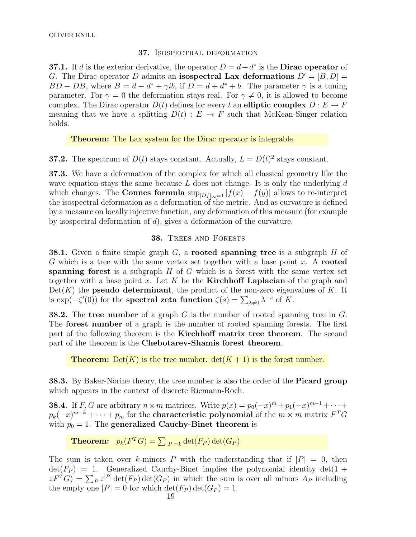# 37. Isospectral deformation

**37.1.** If d is the exterior derivative, the operator  $D = d + d^*$  is the **Dirac operator** of G. The Dirac operator D admits an isospectral Lax deformations  $D' = [B, D] =$  $BD - DB$ , where  $B = d - d^* + \gamma ib$ , if  $D = d + d^* + b$ . The parameter  $\gamma$  is a tuning parameter. For  $\gamma = 0$  the deformation stays real. For  $\gamma \neq 0$ , it is allowed to become complex. The Dirac operator  $D(t)$  defines for every t an elliptic complex  $D: E \to F$ meaning that we have a splitting  $D(t) : E \to F$  such that McKean-Singer relation holds.

Theorem: The Lax system for the Dirac operator is integrable.

**37.2.** The spectrum of  $D(t)$  stays constant. Actually,  $L = D(t)^2$  stays constant.

37.3. We have a deformation of the complex for which all classical geometry like the wave equation stays the same because  $L$  does not change. It is only the underlying  $d$ which changes. The **Connes formula**  $\sup_{|Df|_{\infty}=1} |f(x) - f(y)|$  allows to re-interpret the isospectral deformation as a deformation of the metric. And as curvature is defined by a measure on locally injective function, any deformation of this measure (for example by isospectral deformation of d), gives a deformation of the curvature.

# 38. Trees and Forests

**38.1.** Given a finite simple graph  $G$ , a **rooted spanning tree** is a subgraph  $H$  of G which is a tree with the same vertex set together with a base point x. A rooted spanning forest is a subgraph  $H$  of  $G$  which is a forest with the same vertex set together with a base point x. Let K be the **Kirchhoff Laplacian** of the graph and  $Det(K)$  the **pseudo determinant**, the product of the non-zero eigenvalues of K. It is  $\exp(-\zeta'(0))$  for the **spectral zeta function**  $\zeta(s) = \sum_{\lambda \neq 0} \lambda^{-s}$  of K.

**38.2.** The tree number of a graph G is the number of rooted spanning tree in  $G$ . The forest number of a graph is the number of rooted spanning forests. The first part of the following theorem is the Kirchhoff matrix tree theorem. The second part of the theorem is the Chebotarev-Shamis forest theorem.

**Theorem:** Det(K) is the tree number.  $\det(K + 1)$  is the forest number.

38.3. By Baker-Norine theory, the tree number is also the order of the **Picard group** which appears in the context of discrete Riemann-Roch.

**38.4.** If F, G are arbitrary  $n \times m$  matrices. Write  $p(x) = p_0(-x)^m + p_1(-x)^{m-1} + \cdots$  $p_k(-x)^{m-k}+\cdots+p_m$  for the **characteristic polynomial** of the  $m\times m$  matrix  $F^TG$ with  $p_0 = 1$ . The generalized Cauchy-Binet theorem is

**Theorem:**  $p_k(F^T G) = \sum_{|P|=k} \det(F_P) \det(G_P)$ 

The sum is taken over k-minors P with the understanding that if  $|P| = 0$ , then  $\det(F_P) = 1$ . Generalized Cauchy-Binet implies the polynomial identity  $\det(1 +$  $zF^{T}G$ ) =  $\sum_{P} z^{|P|} \det(F_{P}) \det(G_{P})$  in which the sum is over all minors  $A_{P}$  including the empty one  $|P| = 0$  for which  $\det(F_P) \det(G_P) = 1$ .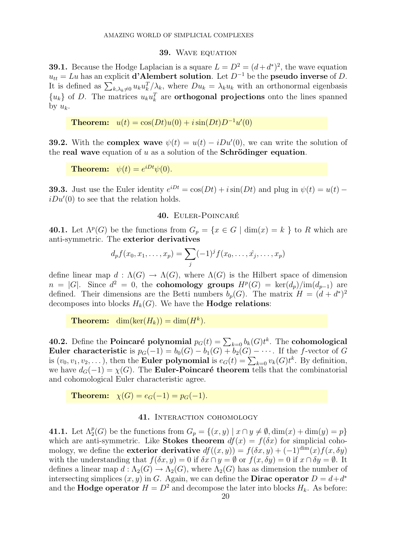#### 39. WAVE EQUATION

**39.1.** Because the Hodge Laplacian is a square  $L = D^2 = (d + d^*)^2$ , the wave equation  $u_{tt} = Lu$  has an explicit **d'Alembert solution**. Let  $D^{-1}$  be the **pseudo inverse** of D. It is defined as  $\sum_{k,\lambda_k\neq 0} u_k u_k^T/\lambda_k$ , where  $Du_k = \lambda_k u_k$  with an orthonormal eigenbasis  ${u_k}$  of D. The matrices  $u_k u_k^T$  are **orthogonal projections** onto the lines spanned by  $u_k$ .

**Theorem:**  $u(t) = \cos(Dt)u(0) + i\sin(Dt)D^{-1}u'(0)$ 

**39.2.** With the **complex wave**  $\psi(t) = u(t) - iDu'(0)$ , we can write the solution of the real wave equation of u as a solution of the Schrödinger equation.

**Theorem:**  $\psi(t) = e^{iDt}\psi(0)$ .

**39.3.** Just use the Euler identity  $e^{iDt} = \cos(Dt) + i\sin(Dt)$  and plug in  $\psi(t) = u(t)$  –  $iDu'(0)$  to see that the relation holds.

#### 40. EULER-POINCARÉ

**40.1.** Let  $\Lambda^p(G)$  be the functions from  $G_p = \{x \in G \mid \dim(x) = k\}$  to R which are anti-symmetric. The exterior derivatives

$$
d_p f(x_0, x_1, \dots, x_p) = \sum_j (-1)^j f(x_0, \dots, \hat{x_j}, \dots, x_p)
$$

define linear map  $d : \Lambda(G) \to \Lambda(G)$ , where  $\Lambda(G)$  is the Hilbert space of dimension  $n = |G|$ . Since  $d^2 = 0$ , the **cohomology groups**  $H^p(G) = \text{ker}(d_p)/\text{im}(d_{p-1})$  are defined. Their dimensions are the Betti numbers  $b_p(G)$ . The matrix  $H = (d + d^*)^2$ decomposes into blocks  $H_k(G)$ . We have the **Hodge relations**:

**Theorem:** dim(ker( $H_k$ )) = dim( $H^k$ ).

40.2. Define the Poincaré polynomial  $p_G(t) = \sum_{k=0} b_k(G)t^k$ . The cohomological Euler characteristic is  $p_G(-1) = b_0(G) - b_1(G) + b_2(G) - \cdots$ . If the f-vector of G is  $(v_0, v_1, v_2, \dots)$ , then the **Euler polynomial** is  $e_G(t) = \sum_{k=0} v_k(G)t^k$ . By definition, we have  $d_G(-1) = \chi(G)$ . The **Euler-Poincaré theorem** tells that the combinatorial and cohomological Euler characteristic agree.

**Theorem:**  $\chi(G) = e_G(-1) = p_G(-1)$ .

# 41. Interaction cohomology

**41.1.** Let  $\Lambda_2^p(G)$  be the functions from  $G_p = \{(x, y) \mid x \cap y \neq \emptyset, \dim(x) + \dim(y) = p\}$ which are anti-symmetric. Like Stokes theorem  $df(x) = f(\delta x)$  for simplicial cohomology, we define the **exterior derivative**  $df((x, y)) = f(\delta x, y) + (-1)^{\dim}(x)f(x, \delta y)$ with the understanding that  $f(\delta x, y) = 0$  if  $\delta x \cap y = \emptyset$  or  $f(x, \delta y) = 0$  if  $x \cap \delta y = \emptyset$ . It defines a linear map  $d : \Lambda_2(G) \to \Lambda_2(G)$ , where  $\Lambda_2(G)$  has as dimension the number of intersecting simplices  $(x, y)$  in G. Again, we can define the **Dirac operator**  $D = d + d^*$ and the **Hodge operator**  $H = D^2$  and decompose the later into blocks  $H_k$ . As before: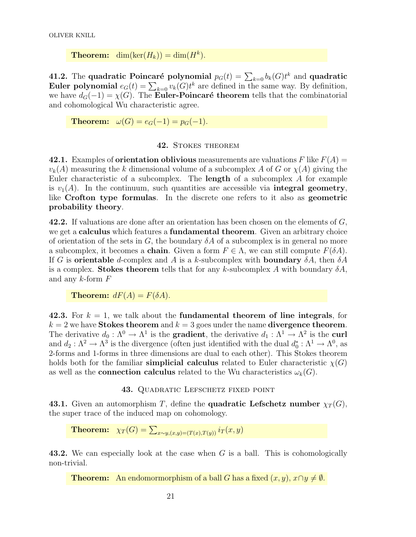**Theorem:** dim(ker( $H_k$ )) = dim( $H^k$ ).

41.2. The quadratic Poincaré polynomial  $p_G(t) = \sum_{k=0} b_k(G)t^k$  and quadratic **Euler polynomial**  $e_G(t) = \sum_{k=0} v_k(G)t^k$  are defined in the same way. By definition, we have  $d_G(-1) = \chi(G)$ . The Euler-Poincaré theorem tells that the combinatorial and cohomological Wu characteristic agree.

**Theorem:**  $\omega(G) = e_G(-1) = p_G(-1)$ .

## 42. STOKES THEOREM

42.1. Examples of **orientation oblivious** measurements are valuations F like  $F(A) =$  $v_k(A)$  measuring the k dimensional volume of a subcomplex A of G or  $\chi(A)$  giving the Euler characteristic of a subcomplex. The length of a subcomplex A for example is  $v_1(A)$ . In the continuum, such quantities are accessible via **integral geometry**, like Crofton type formulas. In the discrete one refers to it also as geometric probability theory.

**42.2.** If valuations are done after an orientation has been chosen on the elements of  $G$ , we get a calculus which features a fundamental theorem. Given an arbitrary choice of orientation of the sets in G, the boundary  $\delta A$  of a subcomplex is in general no more a subcomplex, it becomes a **chain**. Given a form  $F \in \Lambda$ , we can still compute  $F(\delta A)$ . If G is **orientable** d-complex and A is a k-subcomplex with **boundary**  $\delta A$ , then  $\delta A$ is a complex. Stokes theorem tells that for any k-subcomplex A with boundary  $\delta A$ , and any  $k$ -form  $F$ 

**Theorem:**  $dF(A) = F(\delta A)$ .

42.3. For  $k = 1$ , we talk about the **fundamental theorem of line integrals**, for  $k = 2$  we have Stokes theorem and  $k = 3$  goes under the name divergence theorem. The derivative  $d_0: \Lambda^0 \to \Lambda^1$  is the **gradient**, the derivative  $d_1: \Lambda^1 \to \Lambda^2$  is the **curl** and  $d_2: \Lambda^2 \to \Lambda^3$  is the divergence (often just identified with the dual  $d_0^*: \Lambda^1 \to \Lambda^0$ , as 2-forms and 1-forms in three dimensions are dual to each other). This Stokes theorem holds both for the familiar **simplicial calculus** related to Euler characteristic  $\chi(G)$ as well as the **connection calculus** related to the Wu characteristics  $\omega_k(G)$ .

## 43. QUADRATIC LEFSCHETZ FIXED POINT

43.1. Given an automorphism T, define the quadratic Lefschetz number  $\chi_T(G)$ , the super trace of the induced map on cohomology.

**Theorem:**  $\chi_T(G) = \sum_{x \sim y, (x,y) = (T(x),T(y))} i_T(x,y)$ 

43.2. We can especially look at the case when G is a ball. This is cohomologically non-trivial.

**Theorem:** An endomormorphism of a ball G has a fixed  $(x, y)$ ,  $x \cap y \neq \emptyset$ .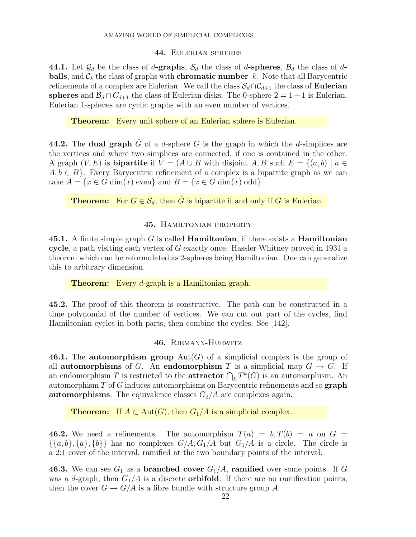#### 44. Eulerian spheres

44.1. Let  $\mathcal{G}_d$  be the class of d-graphs,  $\mathcal{S}_d$  the class of d-spheres,  $\mathcal{B}_d$  the class of dballs, and  $\mathcal{C}_k$  the class of graphs with **chromatic number** k. Note that all Barycentric refinements of a complex are Eulerian. We call the class  $S_d \cap C_{d+1}$  the class of **Eulerian** spheres and  $\mathcal{B}_d \cap C_{d+1}$  the class of Eulerian disks. The 0-sphere  $2 = 1 + 1$  is Eulerian. Eulerian 1-spheres are cyclic graphs with an even number of vertices.

Theorem: Every unit sphere of an Eulerian sphere is Eulerian.

44.2. The dual graph G of a d-sphere G is the graph in which the d-simplices are the vertices and where two simplices are connected, if one is contained in the other. A graph  $(V, E)$  is **bipartite** if  $V = (A \cup B$  with disjoint A, B such  $E = \{(a, b) \mid a \in E\}$  $A, b \in B$ . Every Barycentric refinement of a complex is a bipartite graph as we can take  $A = \{x \in G \dim(x) \text{ even}\}\$ and  $B = \{x \in G \dim(x) \text{ odd}\}\.$ 

**Theorem:** For  $G \in \mathcal{S}_d$ , then  $\hat{G}$  is bipartite if and only if G is Eulerian.

# 45. Hamiltonian property

45.1. A finite simple graph  $G$  is called **Hamiltonian**, if there exists a **Hamiltonian** cycle, a path visiting each vertex of G exactly once. Hassler Whitney proved in 1931 a theorem which can be reformulated as 2-spheres being Hamiltonian. One can generalize this to arbitrary dimension.

**Theorem:** Every *d*-graph is a Hamiltonian graph.

45.2. The proof of this theorem is constructive. The path can be constructed in a time polynomial of the number of vertices. We can cut out part of the cycles, find Hamiltonian cycles in both parts, then combine the cycles. See [142].

# 46. Riemann-Hurwitz

46.1. The automorphism group  $Aut(G)$  of a simplicial complex is the group of all automorphisms of G. An endomorphism T is a simplicial map  $G \to G$ . If an endomorphism T is restricted to the **attractor**  $\bigcap_k T^k(G)$  is an automorphism. An automorphism T of G induces automorphisms on Barycentric refinements and so graph **automorphisms**. The equivalence classes  $G_2/A$  are complexes again.

**Theorem:** If  $A \subset \text{Aut}(G)$ , then  $G_1/A$  is a simplicial complex.

**46.2.** We need a refinements. The automorphism  $T(a) = b, T(b) = a$  on  $G =$  $\{\{a,b\},\{a\},\{b\}\}\$  has no complexes  $G/A$ ,  $G_1/A$  but  $G_1/A$  is a circle. The circle is a 2:1 cover of the interval, ramified at the two boundary points of the interval.

**46.3.** We can see  $G_1$  as a **branched cover**  $G_1/A$ , **ramified** over some points. If G was a d-graph, then  $G_1/A$  is a discrete **orbifold**. If there are no ramification points, then the cover  $G \to G/A$  is a fibre bundle with structure group A.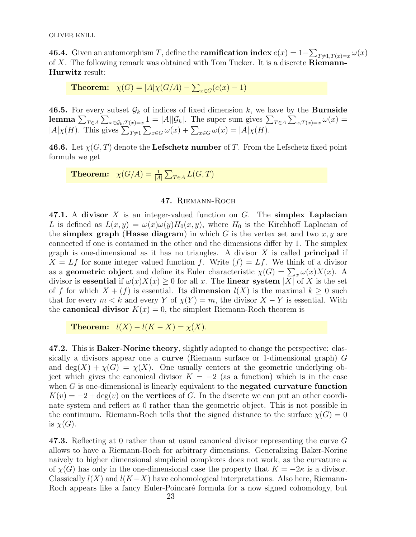**46.4.** Given an automorphism T, define the **ramification index**  $e(x) = 1 - \sum_{T \neq 1, T(x) = x} \omega(x)$ of X. The following remark was obtained with Tom Tucker. It is a discrete Riemann-Hurwitz result:

**Theorem:**  $\chi(G) = |A|\chi(G/A) - \sum_{x \in G}(e(x) - 1)$ 

46.5. For every subset  $\mathcal{G}_k$  of indices of fixed dimension k, we have by the **Burnside** lemma  $\sum_{T\in A}\sum_{x\in\mathcal{G}_k,T(x)=x}1=|A||\mathcal{G}_k|$ . The super sum gives  $\sum_{T\in A}\sum_{x,T(x)=x}\omega(x)=$  $|A|\chi(H)$ . This gives  $\sum_{T\neq 1} \sum_{x\in G} \omega(x) + \sum_{x\in G} \omega(x) = |A|\chi(H)$ .

**46.6.** Let  $\chi(G, T)$  denote the Lefschetz number of T. From the Lefschetz fixed point formula we get

**Theorem:**  $\chi(G/A) = \frac{1}{|A|} \sum_{T \in A} L(G, T)$ 

# 47. Riemann-Roch

47.1. A divisor X is an integer-valued function on  $G$ . The simplex Laplacian L is defined as  $L(x, y) = \omega(x)\omega(y)H_0(x, y)$ , where  $H_0$  is the Kirchhoff Laplacian of the simplex graph (Hasse diagram) in which  $G$  is the vertex set and two  $x, y$  are connected if one is contained in the other and the dimensions differ by 1. The simplex graph is one-dimensional as it has no triangles. A divisor  $X$  is called **principal** if  $X = Lf$  for some integer valued function f. Write  $(f) = Lf$ . We think of a divisor as a **geometric object** and define its Euler characteristic  $\chi(G) = \sum_x \omega(x)X(x)$ . A divisor is essential if  $\omega(x)X(x) \geq 0$  for all x. The linear system |X| of X is the set of f for which  $X + (f)$  is essential. Its **dimension**  $l(X)$  is the maximal  $k \geq 0$  such that for every  $m < k$  and every Y of  $\chi(Y) = m$ , the divisor  $X - Y$  is essential. With the **canonical divisor**  $K(x) = 0$ , the simplest Riemann-Roch theorem is

Theorem:  $l(X) - l(K - X) = \chi(X)$ .

47.2. This is Baker-Norine theory, slightly adapted to change the perspective: classically a divisors appear one a curve (Riemann surface or 1-dimensional graph) G and deg(X) +  $\chi$ (G) =  $\chi$ (X). One usually centers at the geometric underlying object which gives the canonical divisor  $K = -2$  (as a function) which is in the case when  $G$  is one-dimensional is linearly equivalent to the negated curvature function  $K(v) = 2 + deg(v)$  on the **vertices** of G. In the discrete we can put an other coordinate system and reflect at 0 rather than the geometric object. This is not possible in the continuum. Riemann-Roch tells that the signed distance to the surface  $\chi(G) = 0$ is  $\chi(G)$ .

47.3. Reflecting at 0 rather than at usual canonical divisor representing the curve G allows to have a Riemann-Roch for arbitrary dimensions. Generalizing Baker-Norine naively to higher dimensional simplicial complexes does not work, as the curvature  $\kappa$ of  $\chi(G)$  has only in the one-dimensional case the property that  $K = -2\kappa$  is a divisor. Classically  $l(X)$  and  $l(K-X)$  have cohomological interpretations. Also here, Riemann-Roch appears like a fancy Euler-Poincaré formula for a now signed cohomology, but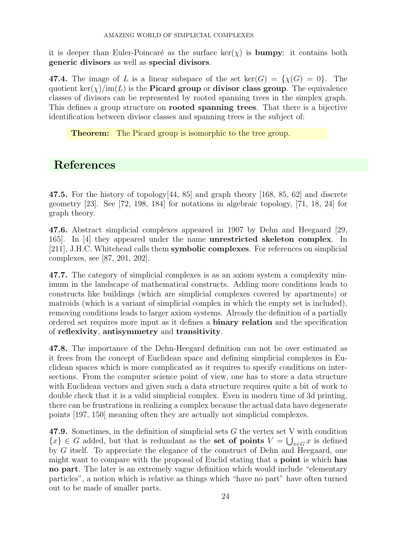it is deeper than Euler-Poincaré as the surface  $\ker(\chi)$  is **bumpy**: it contains both generic divisors as well as special divisors.

47.4. The image of L is a linear subspace of the set  $\text{ker}(G) = \{\chi(G) = 0\}$ . The quotient ker( $\chi$ )/im(L) is the **Picard group** or **divisor class group**. The equivalence classes of divisors can be represented by rooted spanning trees in the simplex graph. This defines a group structure on rooted spanning trees. That there is a bijective identification between divisor classes and spanning trees is the subject of:

Theorem: The Picard group is isomorphic to the tree group.

# References

47.5. For the history of topology $[44, 85]$  and graph theory [168, 85, 62] and discrete geometry [23]. See [72, 198, 184] for notations in algebraic topology, [71, 18, 24] for graph theory.

47.6. Abstract simplicial complexes appeared in 1907 by Dehn and Heegaard [29, 165]. In [4] they appeared under the name unrestricted skeleton complex. In [211], J.H.C. Whitehead calls them symbolic complexes. For references on simplicial complexes, see [87, 201, 202].

47.7. The category of simplicial complexes is as an axiom system a complexity minimum in the landscape of mathematical constructs. Adding more conditions leads to constructs like buildings (which are simplicial complexes covered by apartments) or matroids (which is a variant of simplicial complex in which the empty set is included), removing conditions leads to larger axiom systems. Already the definition of a partially ordered set requires more input as it defines a binary relation and the specification of reflexivity, antisymmetry and transitivity.

47.8. The importance of the Dehn-Heegard definition can not be over estimated as it frees from the concept of Euclidean space and defining simplicial complexes in Euclidean spaces which is more complicated as it requires to specify conditions on intersections. From the computer science point of view, one has to store a data structure with Euclidean vectors and given such a data structure requires quite a bit of work to double check that it is a valid simplicial complex. Even in modern time of 3d printing, there can be frustrations in realizing a complex because the actual data have degenerate points [197, 150] meaning often they are actually not simplicial complexes.

47.9. Sometimes, in the definition of simplicial sets G the vertex set V with condition  ${x} \in G$  added, but that is redundant as the **set of points**  $V = \bigcup_{x \in G} x$  is defined by G itself. To appreciate the elegance of the construct of Dehn and Heegaard, one might want to compare with the proposal of Euclid stating that a point is which has no part. The later is an extremely vague definition which would include "elementary particles", a notion which is relative as things which "have no part" have often turned out to be made of smaller parts.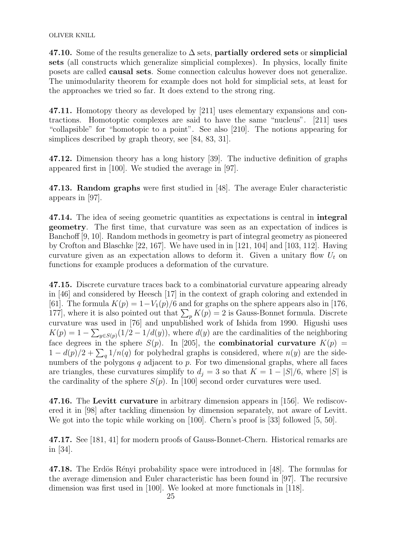47.10. Some of the results generalize to  $\Delta$  sets, partially ordered sets or simplicial sets (all constructs which generalize simplicial complexes). In physics, locally finite posets are called causal sets. Some connection calculus however does not generalize. The unimodularity theorem for example does not hold for simplicial sets, at least for the approaches we tried so far. It does extend to the strong ring.

47.11. Homotopy theory as developed by [211] uses elementary expansions and contractions. Homotoptic complexes are said to have the same "nucleus". [211] uses "collapsible" for "homotopic to a point". See also [210]. The notions appearing for simplices described by graph theory, see [84, 83, 31].

47.12. Dimension theory has a long history [39]. The inductive definition of graphs appeared first in [100]. We studied the average in [97].

47.13. Random graphs were first studied in [48]. The average Euler characteristic appears in [97].

47.14. The idea of seeing geometric quantities as expectations is central in integral geometry. The first time, that curvature was seen as an expectation of indices is Banchoff [9, 10]. Random methods in geometry is part of integral geometry as pioneered by Crofton and Blaschke [22, 167]. We have used in in [121, 104] and [103, 112]. Having curvature given as an expectation allows to deform it. Given a unitary flow  $U_t$  on functions for example produces a deformation of the curvature.

47.15. Discrete curvature traces back to a combinatorial curvature appearing already in [46] and considered by Heesch [17] in the context of graph coloring and extended in [61]. The formula  $K(p) = 1 - V_1(p)/6$  and for graphs on the sphere appears also in [176, 177], where it is also pointed out that  $\sum_{p} K(p) = 2$  is Gauss-Bonnet formula. Discrete curvature was used in [76] and unpublished work of Ishida from 1990. Higushi uses  $K(p) = 1 - \sum_{y \in S(p)} (1/2 - 1/d(y))$ , where  $d(y)$  are the cardinalities of the neighboring face degrees in the sphere  $S(p)$ . In [205], the **combinatorial curvature**  $K(p)$  =  $1 - d(p)/2 + \sum_{q} 1/n(q)$  for polyhedral graphs is considered, where  $n(y)$  are the sidenumbers of the polygons  $q$  adjacent to  $p$ . For two dimensional graphs, where all faces are triangles, these curvatures simplify to  $d_j = 3$  so that  $K = 1 - |S|/6$ , where |S| is the cardinality of the sphere  $S(p)$ . In [100] second order curvatures were used.

47.16. The Levitt curvature in arbitrary dimension appears in [156]. We rediscovered it in [98] after tackling dimension by dimension separately, not aware of Levitt. We got into the topic while working on [100]. Chern's proof is [33] followed [5, 50].

47.17. See [181, 41] for modern proofs of Gauss-Bonnet-Chern. Historical remarks are in [34].

47.18. The Erdös Rényi probability space were introduced in [48]. The formulas for the average dimension and Euler characteristic has been found in [97]. The recursive dimension was first used in [100]. We looked at more functionals in [118].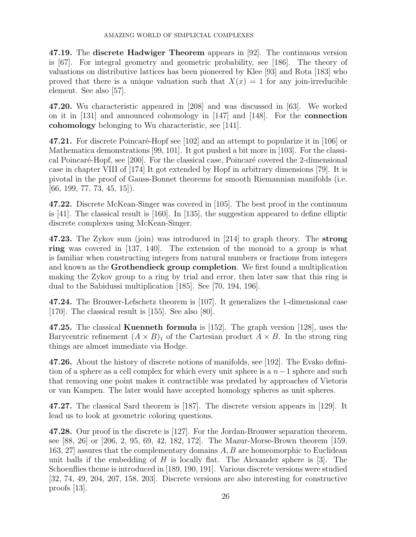47.19. The discrete Hadwiger Theorem appears in [92]. The continuous version is [67]. For integral geometry and geometric probability, see [186]. The theory of valuations on distributive lattices has been pioneered by Klee [93] and Rota [183] who proved that there is a unique valuation such that  $X(x) = 1$  for any join-irreducible element. See also [57].

47.20. Wu characteristic appeared in [208] and was discussed in [63]. We worked on it in [131] and announced cohomology in [147] and [148]. For the connection cohomology belonging to Wu characteristic, see [141].

47.21. For discrete Poincaré-Hopf see [102] and an attempt to popularize it in [106] or Mathematica demonstrations [99, 101]. It got pushed a bit more in [103]. For the classical Poincaré-Hopf, see [200]. For the classical case, Poincaré covered the 2-dimensional case in chapter VIII of [174] It got extended by Hopf in arbitrary dimensions [79]. It is pivotal in the proof of Gauss-Bonnet theorems for smooth Riemannian manifolds (i.e.  $[66, 199, 77, 73, 45, 15]$ .

47.22. Discrete McKean-Singer was covered in [105]. The best proof in the continuum is [41]. The classical result is [160]. In [135], the suggestion appeared to define elliptic discrete complexes using McKean-Singer.

47.23. The Zykov sum (join) was introduced in [214] to graph theory. The strong ring was covered in [137, 140]. The extension of the monoid to a group is what is familiar when constructing integers from natural numbers or fractions from integers and known as the Grothendieck group completion. We first found a multiplication making the Zykov group to a ring by trial and error, then later saw that this ring is dual to the Sabidussi multiplication [185]. See [70, 194, 196].

47.24. The Brouwer-Lefschetz theorem is [107]. It generalizes the 1-dimensional case [170]. The classical result is [155]. See also [80].

47.25. The classical Kuenneth formula is [152]. The graph version [128], uses the Barycentric refinement  $(A \times B)_1$  of the Cartesian product  $A \times B$ . In the strong ring things are almost immediate via Hodge.

47.26. About the history of discrete notions of manifolds, see [192]. The Evako definition of a sphere as a cell complex for which every unit sphere is a  $n-1$  sphere and such that removing one point makes it contractible was predated by approaches of Vietoris or van Kampen. The later would have accepted homology spheres as unit spheres.

47.27. The classical Sard theorem is [187]. The discrete version appears in [129]. It lead us to look at geometric coloring questions.

47.28. Our proof in the discrete is [127]. For the Jordan-Brouwer separation theorem, see [88, 26] or [206, 2, 95, 69, 42, 182, 172]. The Mazur-Morse-Brown theorem [159, 163, 27] assures that the complementary domains A, B are homeomorphic to Euclidean unit balls if the embedding of  $H$  is locally flat. The Alexander sphere is [3]. The Schoenflies theme is introduced in [189, 190, 191]. Various discrete versions were studied [32, 74, 49, 204, 207, 158, 203]. Discrete versions are also interesting for constructive proofs [13].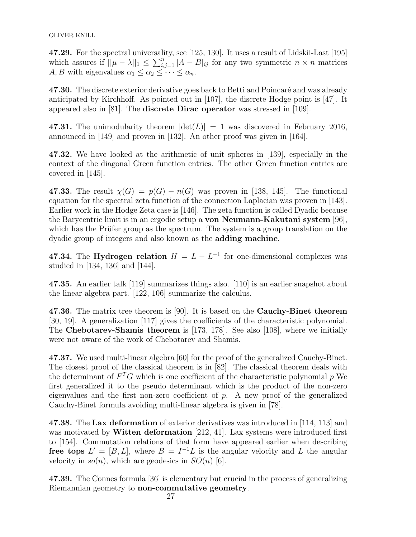47.29. For the spectral universality, see [125, 130]. It uses a result of Lidskii-Last [195] which assures if  $||\mu - \lambda||_1 \leq \sum_{i,j=1}^n |A-B|_i$  for any two symmetric  $n \times n$  matrices A, B with eigenvalues  $\alpha_1 \leq \alpha_2 \leq \cdots \leq \alpha_n$ .

47.30. The discrete exterior derivative goes back to Betti and Poincaré and was already anticipated by Kirchhoff. As pointed out in [107], the discrete Hodge point is [47]. It appeared also in [81]. The discrete Dirac operator was stressed in [109].

47.31. The unimodularity theorem  $|\det(L)| = 1$  was discovered in February 2016, announced in [149] and proven in [132]. An other proof was given in [164].

47.32. We have looked at the arithmetic of unit spheres in [139], especially in the context of the diagonal Green function entries. The other Green function entries are covered in [145].

47.33. The result  $\chi(G) = p(G) - n(G)$  was proven in [138, 145]. The functional equation for the spectral zeta function of the connection Laplacian was proven in [143]. Earlier work in the Hodge Zeta case is [146]. The zeta function is called Dyadic because the Barycentric limit is in an ergodic setup a von Neumann-Kakutani system [96], which has the Prüfer group as the spectrum. The system is a group translation on the dyadic group of integers and also known as the adding machine.

47.34. The Hydrogen relation  $H = L - L^{-1}$  for one-dimensional complexes was studied in [134, 136] and [144].

47.35. An earlier talk [119] summarizes things also. [110] is an earlier snapshot about the linear algebra part. [122, 106] summarize the calculus.

47.36. The matrix tree theorem is [90]. It is based on the Cauchy-Binet theorem [30, 19]. A generalization [117] gives the coefficients of the characteristic polynomial. The Chebotarev-Shamis theorem is [173, 178]. See also [108], where we initially were not aware of the work of Chebotarev and Shamis.

47.37. We used multi-linear algebra [60] for the proof of the generalized Cauchy-Binet. The closest proof of the classical theorem is in [82]. The classical theorem deals with the determinant of  $F^T G$  which is one coefficient of the characteristic polynomial p We first generalized it to the pseudo determinant which is the product of the non-zero eigenvalues and the first non-zero coefficient of  $p$ . A new proof of the generalized Cauchy-Binet formula avoiding multi-linear algebra is given in [78].

47.38. The Lax deformation of exterior derivatives was introduced in [114, 113] and was motivated by Witten deformation [212, 41]. Lax systems were introduced first to [154]. Commutation relations of that form have appeared earlier when describing free tops  $L' = [B, L]$ , where  $B = I^{-1}L$  is the angular velocity and L the angular velocity in  $so(n)$ , which are geodesics in  $SO(n)$  [6].

47.39. The Connes formula [36] is elementary but crucial in the process of generalizing Riemannian geometry to non-commutative geometry.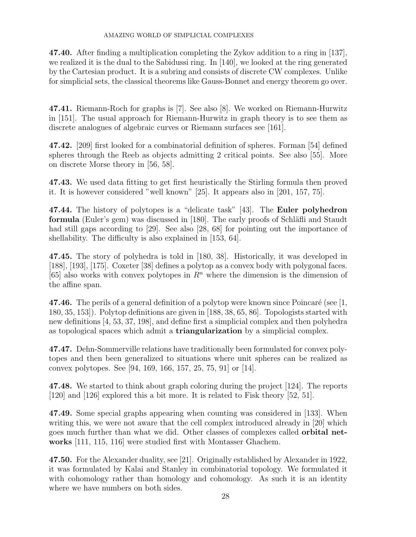47.40. After finding a multiplication completing the Zykov addition to a ring in [137], we realized it is the dual to the Sabidussi ring. In [140], we looked at the ring generated by the Cartesian product. It is a subring and consists of discrete CW complexes. Unlike for simplicial sets, the classical theorems like Gauss-Bonnet and energy theorem go over.

47.41. Riemann-Roch for graphs is [7]. See also [8]. We worked on Riemann-Hurwitz in [151]. The usual approach for Riemann-Hurwitz in graph theory is to see them as discrete analogues of algebraic curves or Riemann surfaces see [161].

47.42. [209] first looked for a combinatorial definition of spheres. Forman [54] defined spheres through the Reeb as objects admitting 2 critical points. See also [55]. More on discrete Morse theory in [56, 58].

47.43. We used data fitting to get first heuristically the Stirling formula then proved it. It is however considered "well known" [25]. It appears also in [201, 157, 75].

47.44. The history of polytopes is a "delicate task" [43]. The Euler polyhedron formula (Euler's gem) was discussed in [180]. The early proofs of Schläfli and Staudt had still gaps according to [29]. See also [28, 68] for pointing out the importance of shellability. The difficulty is also explained in [153, 64].

47.45. The story of polyhedra is told in [180, 38]. Historically, it was developed in [188], [193], [175]. Coxeter [38] defines a polytop as a convex body with polygonal faces. [65] also works with convex polytopes in  $\mathbb{R}^n$  where the dimension is the dimension of the affine span.

47.46. The perils of a general definition of a polytop were known since Poincaré (see  $[1,$ 180, 35, 153]). Polytop definitions are given in [188, 38, 65, 86]. Topologists started with new definitions [4, 53, 37, 198], and define first a simplicial complex and then polyhedra as topological spaces which admit a triangularization by a simplicial complex.

47.47. Dehn-Sommerville relations have traditionally been formulated for convex polytopes and then been generalized to situations where unit spheres can be realized as convex polytopes. See [94, 169, 166, 157, 25, 75, 91] or [14].

47.48. We started to think about graph coloring during the project [124]. The reports [120] and [126] explored this a bit more. It is related to Fisk theory [52, 51].

47.49. Some special graphs appearing when counting was considered in [133]. When writing this, we were not aware that the cell complex introduced already in [20] which goes much further than what we did. Other classes of complexes called orbital networks [111, 115, 116] were studied first with Montasser Ghachem.

47.50. For the Alexander duality, see [21]. Originally established by Alexander in 1922, it was formulated by Kalai and Stanley in combinatorial topology. We formulated it with cohomology rather than homology and cohomology. As such it is an identity where we have numbers on both sides.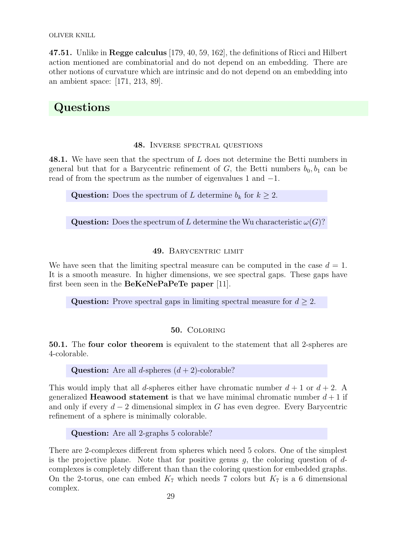OLIVER KNILL

47.51. Unlike in Regge calculus [179, 40, 59, 162], the definitions of Ricci and Hilbert action mentioned are combinatorial and do not depend on an embedding. There are other notions of curvature which are intrinsic and do not depend on an embedding into an ambient space: [171, 213, 89].

# Questions

# 48. Inverse spectral questions

48.1. We have seen that the spectrum of L does not determine the Betti numbers in general but that for a Barycentric refinement of G, the Betti numbers  $b_0, b_1$  can be read of from the spectrum as the number of eigenvalues 1 and −1.

**Question:** Does the spectrum of L determine  $b_k$  for  $k \geq 2$ .

**Question:** Does the spectrum of L determine the Wu characteristic  $\omega(G)$ ?

# 49. BARYCENTRIC LIMIT

We have seen that the limiting spectral measure can be computed in the case  $d = 1$ . It is a smooth measure. In higher dimensions, we see spectral gaps. These gaps have first been seen in the BeKeNePaPeTe paper [11].

Question: Prove spectral gaps in limiting spectral measure for  $d \geq 2$ .

# 50. Coloring

50.1. The four color theorem is equivalent to the statement that all 2-spheres are 4-colorable.

# **Question:** Are all *d*-spheres  $(d+2)$ -colorable?

This would imply that all d-spheres either have chromatic number  $d+1$  or  $d+2$ . A generalized **Heawood statement** is that we have minimal chromatic number  $d + 1$  if and only if every  $d-2$  dimensional simplex in G has even degree. Every Barycentric refinement of a sphere is minimally colorable.

Question: Are all 2-graphs 5 colorable?

There are 2-complexes different from spheres which need 5 colors. One of the simplest is the projective plane. Note that for positive genus  $g$ , the coloring question of  $d$ complexes is completely different than than the coloring question for embedded graphs. On the 2-torus, one can embed  $K_7$  which needs 7 colors but  $K_7$  is a 6 dimensional complex.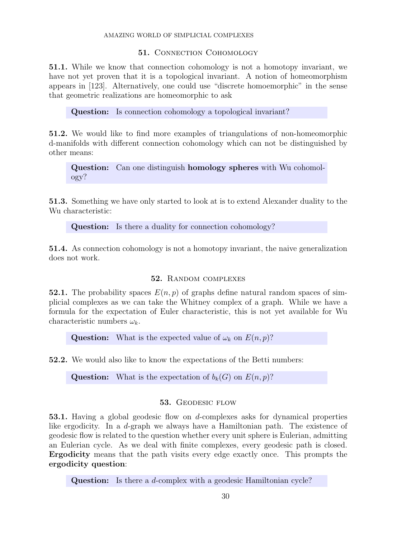# 51. CONNECTION COHOMOLOGY

51.1. While we know that connection cohomology is not a homotopy invariant, we have not yet proven that it is a topological invariant. A notion of homeomorphism appears in [123]. Alternatively, one could use "discrete homoemorphic" in the sense that geometric realizations are homeomorphic to ask

Question: Is connection cohomology a topological invariant?

51.2. We would like to find more examples of triangulations of non-homeomorphic d-manifolds with different connection cohomology which can not be distinguished by other means:

Question: Can one distinguish homology spheres with Wu cohomology?

51.3. Something we have only started to look at is to extend Alexander duality to the Wu characteristic:

**Question:** Is there a duality for connection cohomology?

51.4. As connection cohomology is not a homotopy invariant, the naive generalization does not work.

# 52. Random complexes

52.1. The probability spaces  $E(n, p)$  of graphs define natural random spaces of simplicial complexes as we can take the Whitney complex of a graph. While we have a formula for the expectation of Euler characteristic, this is not yet available for Wu characteristic numbers  $\omega_k$ .

**Question:** What is the expected value of  $\omega_k$  on  $E(n, p)$ ?

52.2. We would also like to know the expectations of the Betti numbers:

**Question:** What is the expectation of  $b_k(G)$  on  $E(n, p)$ ?

# 53. Geodesic flow

53.1. Having a global geodesic flow on d-complexes asks for dynamical properties like ergodicity. In a d-graph we always have a Hamiltonian path. The existence of geodesic flow is related to the question whether every unit sphere is Eulerian, admitting an Eulerian cycle. As we deal with finite complexes, every geodesic path is closed. Ergodicity means that the path visits every edge exactly once. This prompts the ergodicity question:

Question: Is there a *d*-complex with a geodesic Hamiltonian cycle?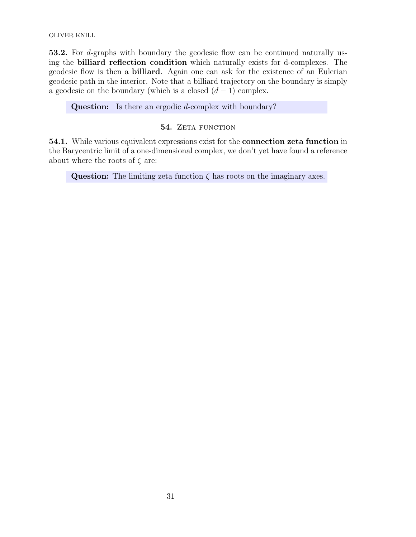OLIVER KNILL

53.2. For d-graphs with boundary the geodesic flow can be continued naturally using the billiard reflection condition which naturally exists for d-complexes. The geodesic flow is then a billiard. Again one can ask for the existence of an Eulerian geodesic path in the interior. Note that a billiard trajectory on the boundary is simply a geodesic on the boundary (which is a closed  $(d-1)$  complex.

Question: Is there an ergodic d-complex with boundary?

# 54. ZETA FUNCTION

54.1. While various equivalent expressions exist for the connection zeta function in the Barycentric limit of a one-dimensional complex, we don't yet have found a reference about where the roots of  $\zeta$  are:

Question: The limiting zeta function  $\zeta$  has roots on the imaginary axes.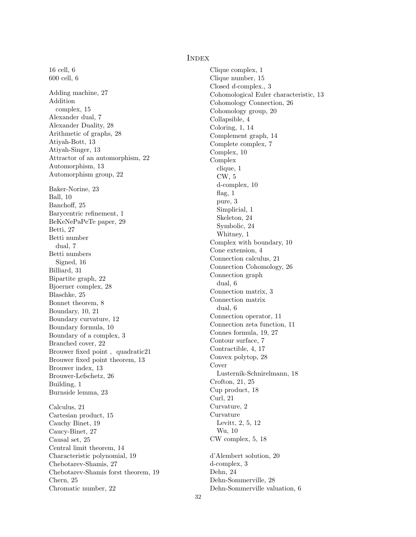#### Index

16 cell, 6 600 cell, 6 Adding machine, 27 Addition complex, 15 Alexander dual, 7 Alexander Duality, 28 Arithmetic of graphs, 28 Atiyah-Bott, 13 Atiyah-Singer, 13 Attractor of an automorphism, 22 Automorphism, 13 Automorphism group, 22 Baker-Norine, 23 Ball, 10 Banchoff, 25 Barycentric refinement, 1 BeKeNePaPeTe paper, 29 Betti, 27 Betti number dual, 7 Betti numbers Signed, 16 Billiard, 31 Bipartite graph, 22 Bjoerner complex, 28 Blaschke, 25 Bonnet theorem, 8 Boundary, 10, 21 Boundary curvature, 12 Boundary formula, 10 Boundary of a complex, 3 Branched cover, 22 Brouwer fixed point , quadratic21 Brouwer fixed point theorem, 13 Brouwer index, 13 Brouwer-Lefschetz, 26 Building, 1 Burnside lemma, 23 Calculus, 21 Cartesian product, 15 Cauchy Binet, 19 Caucy-Binet, 27 Causal set, 25 Central limit theorem, 14 Characteristic polynomial, 19 Chebotarev-Shamis, 27 Chebotarev-Shamis forst theorem, 19 Chern, 25 Chromatic number, 22

Clique complex, 1 Clique number, 15 Closed d-complex., 3 Cohomological Euler characteristic, 13 Cohomology Connection, 26 Cohomology group, 20 Collapsible, 4 Coloring, 1, 14 Complement graph, 14 Complete complex, 7 Complex, 10 Complex clique, 1 CW, 5 d-complex, 10 flag, 1 pure, 3 Simplicial, 1 Skeleton, 24 Symbolic, 24 Whitney, 1 Complex with boundary, 10 Cone extension, 4 Connection calculus, 21 Connection Cohomology, 26 Connection graph dual, 6 Connection matrix, 3 Connection matrix dual, 6 Connection operator, 11 Connection zeta function, 11 Connes formula, 19, 27 Contour surface, 7 Contractible, 4, 17 Convex polytop, 28 Cover Lusternik-Schnirelmann, 18 Crofton, 21, 25 Cup product, 18 Curl, 21 Curvature, 2 Curvature Levitt, 2, 5, 12 Wu, 10 CW complex, 5, 18 d'Alembert solution, 20 d-complex, 3 Dehn, 24 Dehn-Sommerville, 28 Dehn-Sommerville valuation, 6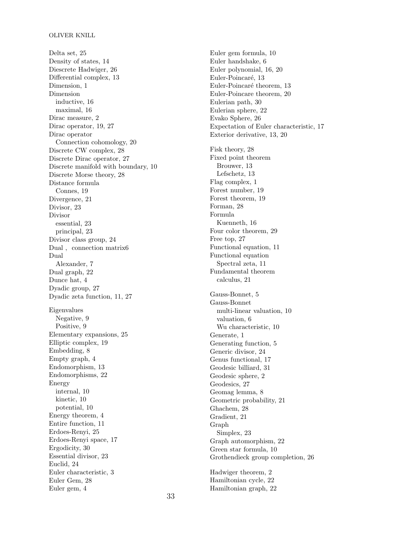Delta set, 25 Density of states, 14 Diescrete Hadwiger, 26 Differential complex, 13 Dimension, 1 Dimension inductive, 16 maximal, 16 Dirac measure, 2 Dirac operator, 19, 27 Dirac operator Connection cohomology, 20 Discrete CW complex, 28 Discrete Dirac operator, 27 Discrete manifold with boundary, 10 Discrete Morse theory, 28 Distance formula Connes, 19 Divergence, 21 Divisor, 23 Divisor essential, 23 principal, 23 Divisor class group, 24 Dual , connection matrix6 Dual Alexander, 7 Dual graph, 22 Dunce hat, 4 Dyadic group, 27 Dyadic zeta function, 11, 27 Eigenvalues Negative, 9 Positive, 9 Elementary expansions, 25 Elliptic complex, 19 Embedding, 8 Empty graph, 4 Endomorphism, 13 Endomorphisms, 22 Energy internal, 10 kinetic, 10 potential, 10 Energy theorem, 4 Entire function, 11 Erdoes-Renyi, 25 Erdoes-Renyi space, 17 Ergodicity, 30 Essential divisor, 23 Euclid, 24 Euler characteristic, 3 Euler Gem, 28 Euler gem, 4

Euler gem formula, 10 Euler handshake, 6 Euler polynomial, 16, 20 Euler-Poincaré, 13 Euler-Poincaré theorem, 13 Euler-Poincare theorem, 20 Eulerian path, 30 Eulerian sphere, 22 Evako Sphere, 26 Expectation of Euler characteristic, 17 Exterior derivative, 13, 20 Fisk theory, 28 Fixed point theorem Brouwer, 13 Lefschetz, 13 Flag complex, 1 Forest number, 19 Forest theorem, 19 Forman, 28 Formula Kuenneth, 16 Four color theorem, 29 Free top, 27 Functional equation, 11 Functional equation Spectral zeta, 11 Fundamental theorem calculus, 21 Gauss-Bonnet, 5 Gauss-Bonnet multi-linear valuation, 10 valuation, 6 Wu characteristic, 10 Generate, 1 Generating function, 5 Generic divisor, 24 Genus functional, 17 Geodesic billiard, 31 Geodesic sphere, 2 Geodesics, 27 Geomag lemma, 8 Geometric probability, 21 Ghachem, 28 Gradient, 21 Graph Simplex, 23 Graph automorphism, 22 Green star formula, 10 Grothendieck group completion, 26 Hadwiger theorem, 2 Hamiltonian cycle, 22 Hamiltonian graph, 22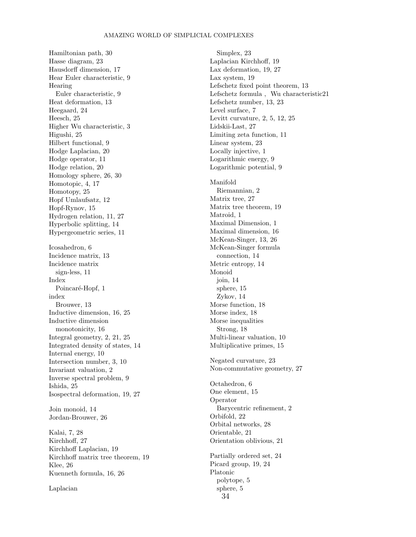Hamiltonian path, 30 Hasse diagram, 23 Hausdorff dimension, 17 Hear Euler characteristic, 9 Hearing Euler characteristic, 9 Heat deformation, 13 Heegaard, 24 Heesch, 25 Higher Wu characteristic, 3 Higushi, 25 Hilbert functional, 9 Hodge Laplacian, 20 Hodge operator, 11 Hodge relation, 20 Homology sphere, 26, 30 Homotopic, 4, 17 Homotopy, 25 Hopf Umlaufsatz, 12 Hopf-Rynov, 15 Hydrogen relation, 11, 27 Hyperbolic splitting, 14 Hypergeometric series, 11 Icosahedron, 6 Incidence matrix, 13 Incidence matrix sign-less, 11 Index Poincaré-Hopf, 1 index Brouwer, 13 Inductive dimension, 16, 25 Inductive dimension monotonicity, 16 Integral geometry, 2, 21, 25 Integrated density of states, 14 Internal energy, 10 Intersection number, 3, 10 Invariant valuation, 2 Inverse spectral problem, 9 Ishida, 25 Isospectral deformation, 19, 27 Join monoid, 14 Jordan-Brouwer, 26 Kalai, 7, 28 Kirchhoff, 27 Kirchhoff Laplacian, 19 Kirchhoff matrix tree theorem, 19 Klee, 26 Kuenneth formula, 16, 26 Laplacian

Simplex, 23 Laplacian Kirchhoff, 19 Lax deformation, 19, 27 Lax system, 19 Lefschetz fixed point theorem, 13 Lefschetz formula , Wu characteristic21 Lefschetz number, 13, 23 Level surface, 7 Levitt curvature, 2, 5, 12, 25 Lidskii-Last, 27 Limiting zeta function, 11 Linear system, 23 Locally injective, 1 Logarithmic energy, 9 Logarithmic potential, 9 Manifold Riemannian, 2 Matrix tree, 27 Matrix tree theorem, 19 Matroid, 1 Maximal Dimension, 1 Maximal dimension, 16 McKean-Singer, 13, 26 McKean-Singer formula connection, 14 Metric entropy, 14 Monoid join, 14 sphere, 15 Zykov, 14 Morse function, 18 Morse index, 18 Morse inequalities Strong, 18 Multi-linear valuation, 10 Multiplicative primes, 15 Negated curvature, 23 Non-commutative geometry, 27 Octahedron, 6 One element, 15 Operator Barycentric refinement, 2 Orbifold, 22 Orbital networks, 28 Orientable, 21 Orientation oblivious, 21 Partially ordered set, 24 Picard group, 19, 24 Platonic polytope, 5 sphere, 5 34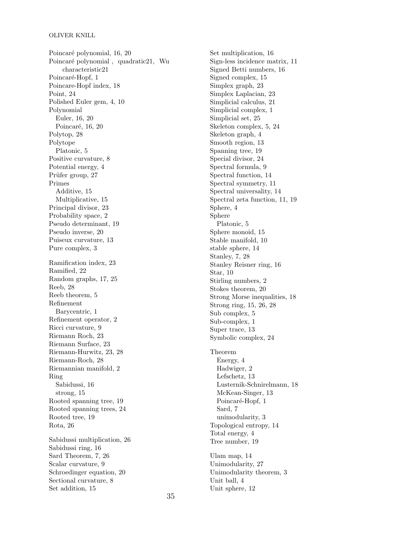Poincaré polynomial, 16, 20 Poincaré polynomial, quadratic21, Wu characteristic21 Poincaré-Hopf, 1 Poincare-Hopf index, 18 Point, 24 Polished Euler gem, 4, 10 Polynomial Euler, 16, 20 Poincaré, 16, 20 Polytop, 28 Polytope Platonic, 5 Positive curvature, 8 Potential energy, 4 Prüfer group, 27 Primes Additive, 15 Multiplicative, 15 Principal divisor, 23 Probability space, 2 Pseudo determinant, 19 Pseudo inverse, 20 Puiseux curvature, 13 Pure complex, 3 Ramification index, 23 Ramified, 22 Random graphs, 17, 25 Reeb, 28 Reeb theorem, 5 Refinement Barycentric, 1 Refinement operator, 2 Ricci curvature, 9 Riemann Roch, 23 Riemann Surface, 23 Riemann-Hurwitz, 23, 28 Riemann-Roch, 28 Riemannian manifold, 2 Ring Sabidussi, 16 strong, 15 Rooted spanning tree, 19 Rooted spanning trees, 24 Rooted tree, 19 Rota, 26 Sabidussi multiplication, 26 Sabidussi ring, 16 Sard Theorem, 7, 26 Scalar curvature, 9 Schroedinger equation, 20 Sectional curvature, 8 Set addition, 15

Set multiplication, 16 Sign-less incidence matrix, 11 Signed Betti numbers, 16 Signed complex, 15 Simplex graph, 23 Simplex Laplacian, 23 Simplicial calculus, 21 Simplicial complex, 1 Simplicial set, 25 Skeleton complex, 5, 24 Skeleton graph, 4 Smooth region, 13 Spanning tree, 19 Special divisor, 24 Spectral formula, 9 Spectral function, 14 Spectral symmetry, 11 Spectral universality, 14 Spectral zeta function, 11, 19 Sphere, 4 Sphere Platonic, 5 Sphere monoid, 15 Stable manifold, 10 stable sphere, 14 Stanley, 7, 28 Stanley Reisner ring, 16 Star, 10 Stirling numbers, 2 Stokes theorem, 20 Strong Morse inequalities, 18 Strong ring, 15, 26, 28 Sub complex, 5 Sub-complex, 1 Super trace, 13 Symbolic complex, 24 Theorem Energy, 4 Hadwiger, 2 Lefschetz, 13 Lusternik-Schnirelmann, 18 McKean-Singer, 13 Poincaré-Hopf, 1 Sard, 7 unimodularity, 3 Topological entropy, 14 Total energy, 4 Tree number, 19 Ulam map, 14 Unimodularity, 27 Unimodularity theorem, 3 Unit ball, 4 Unit sphere, 12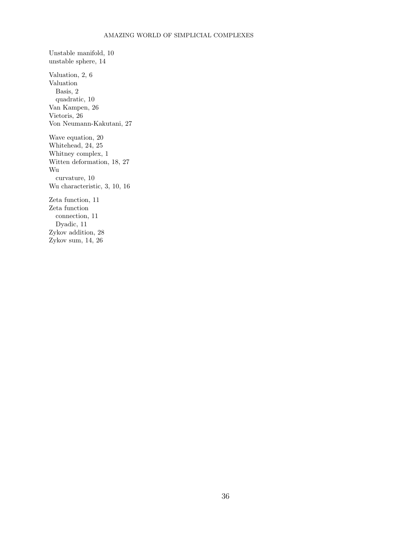Unstable manifold, 10 unstable sphere, 14 Valuation, 2, 6 Valuation Basis, 2 quadratic, 10 Van Kampen, 26 Vietoris, 26 Von Neumann-Kakutani, 27 Wave equation, 20 Whitehead, 24, 25 Whitney complex, 1 Witten deformation, 18, 27 Wu curvature, 10 Wu characteristic, 3, 10, 16 Zeta function, 11 Zeta function connection, 11 Dyadic, 11 Zykov addition, 28 Zykov sum, 14, 26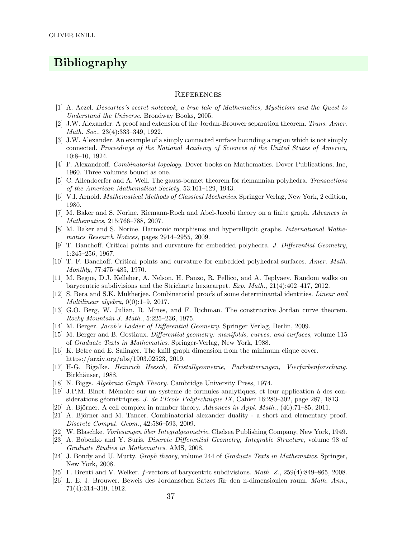# Bibliography

#### **REFERENCES**

- [1] A. Aczel. Descartes's secret notebook, a true tale of Mathematics, Mysticism and the Quest to Understand the Universe. Broadway Books, 2005.
- [2] J.W. Alexander. A proof and extension of the Jordan-Brouwer separation theorem. Trans. Amer. Math. Soc., 23(4):333–349, 1922.
- [3] J.W. Alexander. An example of a simply connected surface bounding a region which is not simply connected. Proceedings of the National Academy of Sciences of the United States of America, 10:8–10, 1924.
- [4] P. Alexandroff. Combinatorial topology. Dover books on Mathematics. Dover Publications, Inc, 1960. Three volumes bound as one.
- [5] C. Allendoerfer and A. Weil. The gauss-bonnet theorem for riemannian polyhedra. Transactions of the American Mathematical Society, 53:101–129, 1943.
- [6] V.I. Arnold. Mathematical Methods of Classical Mechanics. Springer Verlag, New York, 2 edition, 1980.
- [7] M. Baker and S. Norine. Riemann-Roch and Abel-Jacobi theory on a finite graph. Advances in Mathematics, 215:766–788, 2007.
- [8] M. Baker and S. Norine. Harmonic morphisms and hyperelliptic graphs. International Mathematics Research Notices, pages 2914–2955, 2009.
- [9] T. Banchoff. Critical points and curvature for embedded polyhedra. J. Differential Geometry, 1:245–256, 1967.
- [10] T. F. Banchoff. Critical points and curvature for embedded polyhedral surfaces. Amer. Math. Monthly, 77:475–485, 1970.
- [11] M. Begue, D.J. Kelleher, A. Nelson, H. Panzo, R. Pellico, and A. Teplyaev. Random walks on barycentric subdivisions and the Strichartz hexacarpet. Exp. Math., 21(4):402–417, 2012.
- [12] S. Bera and S.K. Mukherjee. Combinatorial proofs of some determinantal identities. Linear and Multilinear algebra, 0(0):1–9, 2017.
- [13] G.O. Berg, W. Julian, R. Mines, and F. Richman. The constructive Jordan curve theorem. Rocky Mountain J. Math., 5:225–236, 1975.
- [14] M. Berger. Jacob's Ladder of Differential Geometry. Springer Verlag, Berlin, 2009.
- [15] M. Berger and B. Gostiaux. Differential geometry: manifolds, curves, and surfaces, volume 115 of Graduate Texts in Mathematics. Springer-Verlag, New York, 1988.
- [16] K. Betre and E. Salinger. The knill graph dimension from the minimum clique cover. https://arxiv.org/abs/1903.02523, 2019.
- [17] H-G. Bigalke. Heinrich Heesch, Kristallgeometrie, Parkettierungen, Vierfarbenforschung. Birkhäuser, 1988.
- [18] N. Biggs. Algebraic Graph Theory. Cambridge University Press, 1974.
- [19] J.P.M. Binet. M´emoire sur un systeme de formules analytiques, et leur application `a des considerations géométriques. J. de l'Ecole Polytechnique IX, Cahier 16:280–302, page 287, 1813.
- [20] A. Björner. A cell complex in number theory. Advances in Appl. Math.,  $(46):71-85, 2011$ .
- [21] A. Björner and M. Tancer. Combinatorial alexander duality a short and elementary proof. Discrete Comput. Geom., 42:586–593, 2009.
- [22] W. Blaschke. *Vorlesungen über Integralgeometrie*. Chelsea Publishing Company, New York, 1949.
- [23] A. Bobenko and Y. Suris. Discrete Differential Geometry, Integrable Structure, volume 98 of Graduate Studies in Mathematics. AMS, 2008.
- [24] J. Bondy and U. Murty. Graph theory, volume 244 of Graduate Texts in Mathematics. Springer, New York, 2008.
- [25] F. Brenti and V. Welker. f-vectors of barycentric subdivisions. Math. Z., 259(4):849–865, 2008.
- [26] L. E. J. Brouwer. Beweis des Jordanschen Satzes für den n-dimensionlen raum. Math. Ann., 71(4):314–319, 1912.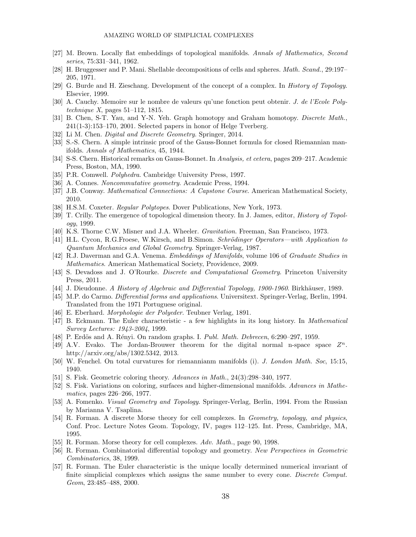- [27] M. Brown. Locally flat embeddings of topological manifolds. Annals of Mathematics, Second series, 75:331–341, 1962.
- [28] H. Bruggesser and P. Mani. Shellable decompositions of cells and spheres. Math. Scand., 29:197– 205, 1971.
- [29] G. Burde and H. Zieschang. Development of the concept of a complex. In History of Topology. Elsevier, 1999.
- [30] A. Cauchy. Memoire sur le nombre de valeurs qu'une fonction peut obtenir. J. de l'Ecole Polytechnique  $X$ , pages 51–112, 1815.
- [31] B. Chen, S-T. Yau, and Y-N. Yeh. Graph homotopy and Graham homotopy. Discrete Math., 241(1-3):153–170, 2001. Selected papers in honor of Helge Tverberg.
- [32] Li M. Chen. *Digital and Discrete Geometry*. Springer, 2014.
- [33] S.-S. Chern. A simple intrinsic proof of the Gauss-Bonnet formula for closed Riemannian manifolds. Annals of Mathematics, 45, 1944.
- [34] S-S. Chern. Historical remarks on Gauss-Bonnet. In Analysis, et cetera, pages 209–217. Academic Press, Boston, MA, 1990.
- [35] P.R. Comwell. *Polyhedra*. Cambridge University Press, 1997.
- [36] A. Connes. Noncommutative geometry. Academic Press, 1994.
- [37] J.B. Conway. Mathematical Connections: A Capstone Course. American Mathematical Society, 2010.
- [38] H.S.M. Coxeter. Regular Polytopes. Dover Publications, New York, 1973.
- [39] T. Crilly. The emergence of topological dimension theory. In J. James, editor, *History of Topol*ogy, 1999.
- [40] K.S. Thorne C.W. Misner and J.A. Wheeler. Gravitation. Freeman, San Francisco, 1973.
- [41] H.L. Cycon, R.G.Froese, W.Kirsch, and B.Simon. Schrödinger Operators—with Application to Quantum Mechanics and Global Geometry. Springer-Verlag, 1987.
- [42] R.J. Daverman and G.A. Venema. Embeddings of Manifolds, volume 106 of Graduate Studies in Mathematics. American Mathematical Society, Providence, 2009.
- [43] S. Devadoss and J. O'Rourke. Discrete and Computational Geometry. Princeton University Press, 2011.
- [44] J. Dieudonne. A History of Algebraic and Differential Topology, 1900-1960. Birkhäuser, 1989.
- [45] M.P. do Carmo. Differential forms and applications. Universitext. Springer-Verlag, Berlin, 1994. Translated from the 1971 Portuguese original.
- [46] E. Eberhard. Morphologie der Polyeder. Teubner Verlag, 1891.
- [47] B. Eckmann. The Euler characteristic a few highlights in its long history. In Mathematical Survey Lectures: 1943-2004, 1999.
- [48] P. Erdös and A. Rényi. On random graphs. I. Publ. Math. Debrecen, 6:290–297, 1959.
- [49] A.V. Evako. The Jordan-Brouwer theorem for the digital normal n-space space  $Z<sup>n</sup>$ . http://arxiv.org/abs/1302.5342, 2013.
- [50] W. Fenchel. On total curvatures for riemannianm manifolds (i). J. London Math. Soc, 15:15, 1940.
- [51] S. Fisk. Geometric coloring theory. Advances in Math., 24(3):298–340, 1977.
- [52] S. Fisk. Variations on coloring, surfaces and higher-dimensional manifolds. Advances in Mathematics, pages 226–266, 1977.
- [53] A. Fomenko. *Visual Geometry and Topology*. Springer-Verlag, Berlin, 1994. From the Russian by Marianna V. Tsaplina.
- [54] R. Forman. A discrete Morse theory for cell complexes. In Geometry, topology, and physics, Conf. Proc. Lecture Notes Geom. Topology, IV, pages 112–125. Int. Press, Cambridge, MA, 1995.
- [55] R. Forman. Morse theory for cell complexes. Adv. Math., page 90, 1998.
- [56] R. Forman. Combinatorial differential topology and geometry. New Perspectives in Geometric Combinatorics, 38, 1999.
- [57] R. Forman. The Euler characteristic is the unique locally determined numerical invariant of finite simplicial complexes which assigns the same number to every cone. Discrete Comput. Geom, 23:485–488, 2000.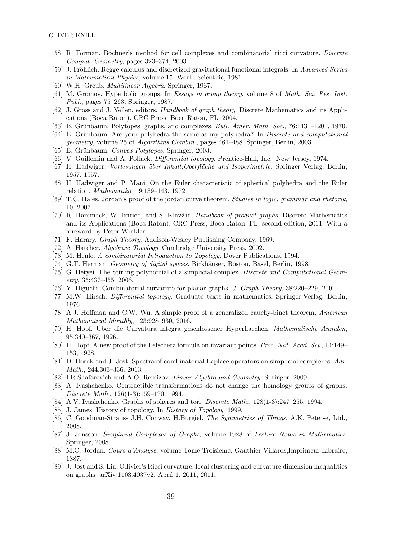- [58] R. Forman. Bochner's method for cell complexes and combinatorial ricci curvature. Discrete Comput. Geometry, pages 323–374, 2003.
- [59] J. Fröhlich. Regge calculus and discretized gravitational functional integrals. In Advanced Series in Mathematical Physics, volume 15. World Scientific, 1981.
- [60] W.H. Greub. Multilinear Algebra. Springer, 1967.
- [61] M. Gromov. Hyperbolic groups. In Essays in group theory, volume 8 of Math. Sci. Res. Inst. Publ., pages 75–263. Springer, 1987.
- [62] J. Gross and J. Yellen, editors. Handbook of graph theory. Discrete Mathematics and its Applications (Boca Raton). CRC Press, Boca Raton, FL, 2004.
- [63] B. Grünbaum. Polytopes, graphs, and complexes. Bull. Amer. Math. Soc., 76:1131–1201, 1970.
- [64] B. Grünbaum. Are your polyhedra the same as my polyhedra? In *Discrete and computational* geometry, volume 25 of Algorithms Combin., pages 461–488. Springer, Berlin, 2003.
- [65] B. Grünbaum. Convex Polytopes. Springer, 2003.
- [66] V. Guillemin and A. Pollack. *Differential topology*. Prentice-Hall, Inc., New Jersey, 1974.
- [67] H. Hadwiger. *Vorlesungen über Inhalt, Oberfläche und Isoperimetrie*. Springer Verlag, Berlin, 1957, 1957.
- [68] H. Hadwiger and P. Mani. On the Euler characteristic of spherical polyhedra and the Euler relation. Mathematika, 19:139–143, 1972.
- [69] T.C. Hales. Jordan's proof of the jordan curve theorem. Studies in logic, grammar and rhetorik, 10, 2007.
- [70] R. Hammack, W. Imrich, and S. Klavžar. Handbook of product graphs. Discrete Mathematics and its Applications (Boca Raton). CRC Press, Boca Raton, FL, second edition, 2011. With a foreword by Peter Winkler.
- [71] F. Harary. Graph Theory. Addison-Wesley Publishing Company, 1969.
- [72] A. Hatcher. *Algebraic Topology*. Cambridge University Press, 2002.
- [73] M. Henle. A combinatorial Introduction to Topology. Dover Publications, 1994.
- [74] G.T. Herman. Geometry of digital spaces. Birkhäuser, Boston, Basel, Berlin, 1998.
- [75] G. Hetyei. The Stirling polynomial of a simplicial complex. Discrete and Computational Geometry, 35:437–455, 2006.
- [76] Y. Higuchi. Combinatorial curvature for planar graphs. J. Graph Theory, 38:220–229, 2001.
- [77] M.W. Hirsch. Differential topology. Graduate texts in mathematics. Springer-Verlag, Berlin, 1976.
- [78] A.J. Hoffman and C.W. Wu. A simple proof of a generalized cauchy-binet theorem. American Mathematical Monthly, 123:928–930, 2016.
- [79] H. Hopf. Über die Curvatura integra geschlossener Hyperflaechen. Mathematische Annalen, 95:340–367, 1926.
- [80] H. Hopf. A new proof of the Lefschetz formula on invariant points. Proc. Nat. Acad. Sci., 14:149– 153, 1928.
- [81] D. Horak and J. Jost. Spectra of combinatorial Laplace operators on simplicial complexes. Adv. Math., 244:303–336, 2013.
- [82] I.R.Shafarevich and A.O. Remizov. Linear Algebra and Geometry. Springer, 2009.
- [83] A. Ivashchenko. Contractible transformations do not change the homology groups of graphs. Discrete Math., 126(1-3):159–170, 1994.
- [84] A.V. Ivashchenko. Graphs of spheres and tori. Discrete Math., 128(1-3):247–255, 1994.
- [85] J. James. History of topology. In History of Topology, 1999.
- [86] C. Goodman-Strauss J.H. Conway, H.Burgiel. The Symmetries of Things. A.K. Peterse, Ltd., 2008.
- [87] J. Jonsson. Simplicial Complexes of Graphs, volume 1928 of Lecture Notes in Mathematics. Springer, 2008.
- [88] M.C. Jordan. Cours d'Analyse, volume Tome Troisieme. Gauthier-Villards,Imprimeur-Libraire, 1887.
- [89] J. Jost and S. Liu. Ollivier's Ricci curvature, local clustering and curvature dimension inequalities on graphs. arXiv:1103.4037v2, April 1, 2011, 2011.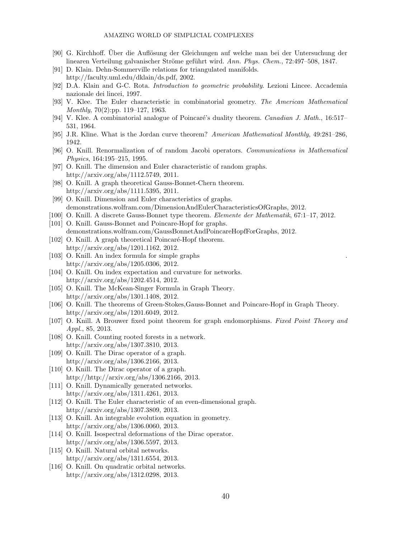- [90] G. Kirchhoff. Uber die Auflösung der Gleichungen auf welche man bei der Untersuchung der linearen Verteilung galvanischer Ströme geführt wird. Ann. Phys. Chem., 72:497–508, 1847.
- [91] D. Klain. Dehn-Sommerville relations for triangulated manifolds. http://faculty.uml.edu/dklain/ds.pdf, 2002.
- [92] D.A. Klain and G-C. Rota. Introduction to geometric probability. Lezioni Lincee. Accademia nazionale dei lincei, 1997.
- [93] V. Klee. The Euler characteristic in combinatorial geometry. The American Mathematical Monthly, 70(2):pp. 119–127, 1963.
- [94] V. Klee. A combinatorial analogue of Poincaré's duality theorem. Canadian J. Math., 16:517– 531, 1964.
- [95] J.R. Kline. What is the Jordan curve theorem? American Mathematical Monthly, 49:281–286, 1942.
- [96] O. Knill. Renormalization of of random Jacobi operators. Communications in Mathematical Physics, 164:195–215, 1995.
- [97] O. Knill. The dimension and Euler characteristic of random graphs. http://arxiv.org/abs/1112.5749, 2011.
- [98] O. Knill. A graph theoretical Gauss-Bonnet-Chern theorem. http://arxiv.org/abs/1111.5395, 2011.
- [99] O. Knill. Dimension and Euler characteristics of graphs. demonstrations.wolfram.com/DimensionAndEulerCharacteristicsOfGraphs, 2012.
- [100] O. Knill. A discrete Gauss-Bonnet type theorem. Elemente der Mathematik, 67:1–17, 2012.
- [101] O. Knill. Gauss-Bonnet and Poincare-Hopf for graphs. demonstrations.wolfram.com/GaussBonnetAndPoincareHopfForGraphs, 2012.
- [102] O. Knill. A graph theoretical Poincaré-Hopf theorem. http://arxiv.org/abs/1201.1162, 2012.
- [103] O. Knill. An index formula for simple graphs http://arxiv.org/abs/1205.0306, 2012.
- [104] O. Knill. On index expectation and curvature for networks. http://arxiv.org/abs/1202.4514, 2012.
- [105] O. Knill. The McKean-Singer Formula in Graph Theory. http://arxiv.org/abs/1301.1408, 2012.
- [106] O. Knill. The theorems of Green-Stokes,Gauss-Bonnet and Poincare-Hopf in Graph Theory. http://arxiv.org/abs/1201.6049, 2012.
- [107] O. Knill. A Brouwer fixed point theorem for graph endomorphisms. Fixed Point Theory and Appl., 85, 2013.
- [108] O. Knill. Counting rooted forests in a network. http://arxiv.org/abs/1307.3810, 2013.
- [109] O. Knill. The Dirac operator of a graph. http://arxiv.org/abs/1306.2166, 2013.
- [110] O. Knill. The Dirac operator of a graph. http://http://arxiv.org/abs/1306.2166, 2013.
- [111] O. Knill. Dynamically generated networks. http://arxiv.org/abs/1311.4261, 2013.
- [112] O. Knill. The Euler characteristic of an even-dimensional graph. http://arxiv.org/abs/1307.3809, 2013.
- [113] O. Knill. An integrable evolution equation in geometry. http://arxiv.org/abs/1306.0060, 2013.
- [114] O. Knill. Isospectral deformations of the Dirac operator. http://arxiv.org/abs/1306.5597, 2013.
- [115] O. Knill. Natural orbital networks. http://arxiv.org/abs/1311.6554, 2013.
- [116] O. Knill. On quadratic orbital networks. http://arxiv.org/abs/1312.0298, 2013.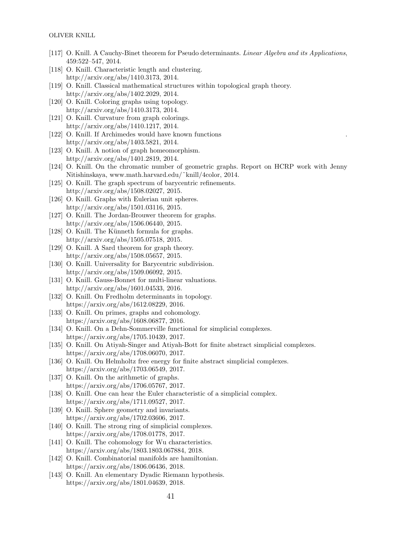- [117] O. Knill. A Cauchy-Binet theorem for Pseudo determinants. Linear Algebra and its Applications, 459:522–547, 2014.
- [118] O. Knill. Characteristic length and clustering. http://arxiv.org/abs/1410.3173, 2014.
- [119] O. Knill. Classical mathematical structures within topological graph theory. http://arxiv.org/abs/1402.2029, 2014.
- [120] O. Knill. Coloring graphs using topology. http://arxiv.org/abs/1410.3173, 2014.
- [121] O. Knill. Curvature from graph colorings. http://arxiv.org/abs/1410.1217, 2014.
- [122] O. Knill. If Archimedes would have known functions http://arxiv.org/abs/1403.5821, 2014.
- [123] O. Knill. A notion of graph homeomorphism. http://arxiv.org/abs/1401.2819, 2014.
- [124] O. Knill. On the chromatic number of geometric graphs. Report on HCRP work with Jenny Nitishinskaya, www.math.harvard.edu/˜knill/4color, 2014.
- [125] O. Knill. The graph spectrum of barycentric refinements. http://arxiv.org/abs/1508.02027, 2015.
- [126] O. Knill. Graphs with Eulerian unit spheres. http://arxiv.org/abs/1501.03116, 2015.
- [127] O. Knill. The Jordan-Brouwer theorem for graphs. http://arxiv.org/abs/1506.06440, 2015.
- [128] O. Knill. The Künneth formula for graphs. http://arxiv.org/abs/1505.07518, 2015.
- [129] O. Knill. A Sard theorem for graph theory. http://arxiv.org/abs/1508.05657, 2015.
- [130] O. Knill. Universality for Barycentric subdivision. http://arxiv.org/abs/1509.06092, 2015.
- [131] O. Knill. Gauss-Bonnet for multi-linear valuations. http://arxiv.org/abs/1601.04533, 2016.
- [132] O. Knill. On Fredholm determinants in topology. https://arxiv.org/abs/1612.08229, 2016.
- [133] O. Knill. On primes, graphs and cohomology. https://arxiv.org/abs/1608.06877, 2016.
- [134] O. Knill. On a Dehn-Sommerville functional for simplicial complexes. https://arxiv.org/abs/1705.10439, 2017.
- [135] O. Knill. On Atiyah-Singer and Atiyah-Bott for finite abstract simplicial complexes. https://arxiv.org/abs/1708.06070, 2017.
- [136] O. Knill. On Helmholtz free energy for finite abstract simplicial complexes. https://arxiv.org/abs/1703.06549, 2017.
- [137] O. Knill. On the arithmetic of graphs. https://arxiv.org/abs/1706.05767, 2017.
- [138] O. Knill. One can hear the Euler characteristic of a simplicial complex. https://arxiv.org/abs/1711.09527, 2017.
- [139] O. Knill. Sphere geometry and invariants. https://arxiv.org/abs/1702.03606, 2017.
- [140] O. Knill. The strong ring of simplicial complexes. https://arxiv.org/abs/1708.01778, 2017.
- [141] O. Knill. The cohomology for Wu characteristics. https://arxiv.org/abs/1803.1803.067884, 2018.
- [142] O. Knill. Combinatorial manifolds are hamiltonian. https://arxiv.org/abs/1806.06436, 2018.
- [143] O. Knill. An elementary Dyadic Riemann hypothesis. https://arxiv.org/abs/1801.04639, 2018.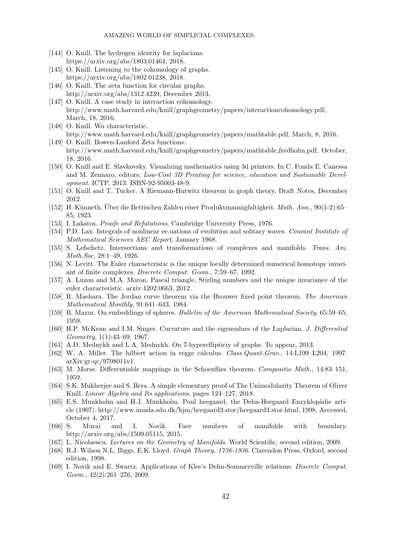- [144] O. Knill. The hydrogen identity for laplacians. https://arxiv.org/abs/1803.01464, 2018.
- [145] O. Knill. Listening to the cohomology of graphs. https://arxiv.org/abs/1802.01238, 2018.
- [146] O. Knill. The zeta function for circular graphs. http://arxiv.org/abs/1312.4239, December 2013.
- [147] O. Knill. A case study in interaction cohomology. http://www.math.harvard.edu/˜knill/graphgeometry/papers/interactioncohomology.pdf, March, 18, 2016.
- [148] O. Knill. Wu characteristic. http://www.math.harvard.edu/knill/graphgeometry/papers/mathtable.pdf, March, 8, 2016. [149] O. Knill. Bowen-Lanford Zeta functions.
- http://www.math.harvard.edu/knill/graphgeometry/papers/mathtable\_fredholm.pdf, October, 18, 2016.
- [150] O. Knill and E. Slavkovsky. Visualizing mathematics using 3d printers. In C. Fonda E. Canessa and M. Zennaro, editors, Low-Cost 3D Printing for science, education and Sustainable Development. ICTP, 2013. ISBN-92-95003-48-9.
- [151] O. Knill and T. Tucker. A Riemann-Hurwitz theorem in graph theory. Draft Notes, December 2012.
- [152] H. Künneth. Uber die Bettischen Zahlen einer Produktmannigfaltigkeit. Math. Ann., 90(1-2):65– 85, 1923.
- [153] I. Lakatos. *Proofs and Refutations*. Cambridge University Press, 1976.
- [154] P.D. Lax. Integrals of nonlinear ee.uations of evolution and solitary waves. Courant Institute of Mathematical Sciences AEC Report, January 1968.
- [155] S. Lefschetz. Intersections and transformations of complexes and manifolds. Trans. Am. Math.Soc, 28:1–49, 1926.
- [156] N. Levitt. The Euler characteristic is the unique locally determined numerical homotopy invariant of finite complexes. Discrete Comput. Geom., 7:59–67, 1992.
- [157] A. Luzon and M.A. Moron. Pascal triangle, Stirling numbers and the unique invariance of the euler characteristic. arxiv.1202.0663, 2012.
- [158] R. Maehara. The Jordan curve theorem via the Brouwer fixed point theorem. The American Mathematical Monthly, 91:641–643, 1984.
- [159] B. Mazur. On embeddings of spheres. Bulletin of the American Mathematical Society, 65:59–65, 1959.
- [160] H.P. McKean and I.M. Singer. Curvature and the eigenvalues of the Laplacian. J. Differential Geometry, 1(1):43–69, 1967.
- [161] A.D. Mednykh and L.A. Mednykh. On 7-hyperellipticiy of graphs. To appear, 2013.
- [162] W. A. Miller. The hilbert action in regge calculus. Class.Quant.Grav., 14:L199–L204, 1997. arXiv:gr-qc/9708011v1.
- [163] M. Morse. Differentiable mappings in the Schoenflies theorem. Compositio Math., 14:83–151, 1959.
- [164] S.K. Mukherjee and S. Bera. A simple elementary proof of The Unimodularity Theorem of Oliver Knill. Linear Algebra and Its applications, pages 124–127, 2018.
- [165] E.S. Munkholm and H.J. Munkholm. Poul heegaard, the Dehn-Heegaard Enzyklopädie article (1907). http://www.imada.sdu.dk/hjm/heegaard3.stor/heegaard3.stor.html, 1998, Accessed, October 4, 2017.
- [166] S. Murai and I. Novik. Face numbers of manifolds with boundary. http://arxiv.org/abs/1509.05115, 2015.
- [167] L. Nicolaescu. Lectures on the Geometry of Manifolds. World Scientific, second edition, 2009.
- [168] R.J. Wilson N.L. Biggs, E.K. Lloyd. Graph Theory, 1736-1936. Clarendon Press, Oxford, second edition, 1998.
- [169] I. Novik and E. Swartz. Applications of Klee's Dehn-Sommerville relations. Discrete Comput. Geom., 42(2):261–276, 2009.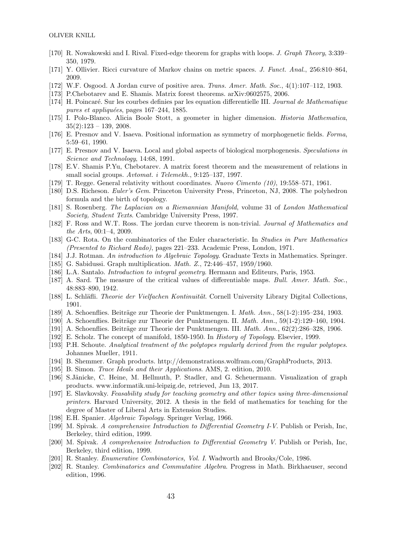- [170] R. Nowakowski and I. Rival. Fixed-edge theorem for graphs with loops. J. Graph Theory, 3:339– 350, 1979.
- [171] Y. Ollivier. Ricci curvature of Markov chains on metric spaces. J. Funct. Anal., 256:810–864, 2009.
- [172] W.F. Osgood. A Jordan curve of positive area. Trans. Amer. Math. Soc., 4(1):107–112, 1903.
- [173] P.Chebotarev and E. Shamis. Matrix forest theorems. arXiv:0602575, 2006.
- [174] H. Poincar´e. Sur les courbes definies par les equation differentielle III. Journal de Mathematique pures et appliquées, pages  $167-244$ , 1885.
- [175] I. Polo-Blanco. Alicia Boole Stott, a geometer in higher dimension. Historia Mathematica,  $35(2):123 - 139, 2008.$
- [176] E. Presnov and V. Isaeva. Positional information as symmetry of morphogenetic fields. Forma, 5:59–61, 1990.
- [177] E. Presnov and V. Isaeva. Local and global aspects of biological morphogenesis. Speculations in Science and Technology, 14:68, 1991.
- [178] E.V. Shamis P.Yu, Chebotarev. A matrix forest theorem and the measurement of relations in small social groups.  $Avtomat.$  i Telemekh., 9:125-137, 1997.
- [179] T. Regge. General relativity without coordinates. Nuovo Cimento (10), 19:558–571, 1961.
- [180] D.S. Richeson. Euler's Gem. Princeton University Press, Princeton, NJ, 2008. The polyhedron formula and the birth of topology.
- [181] S. Rosenberg. The Laplacian on a Riemannian Manifold, volume 31 of London Mathematical Society, Student Texts. Cambridge University Press, 1997.
- [182] F. Ross and W.T. Ross. The jordan curve theorem is non-trivial. Journal of Mathematics and the Arts, 00:1–4, 2009.
- [183] G-C. Rota. On the combinatorics of the Euler characteristic. In Studies in Pure Mathematics (Presented to Richard Rado), pages 221–233. Academic Press, London, 1971.
- [184] J.J. Rotman. An introduction to Algebraic Topology. Graduate Texts in Mathematics. Springer.
- [185] G. Sabidussi. Graph multiplication. *Math. Z.*, 72:446-457, 1959/1960.
- [186] L.A. Santalo. Introduction to integral geometry. Hermann and Editeurs, Paris, 1953.
- [187] A. Sard. The measure of the critical values of differentiable maps. Bull. Amer. Math. Soc., 48:883–890, 1942.
- [188] L. Schläfli. *Theorie der Vielfachen Kontinuität*. Cornell University Library Digital Collections, 1901.
- [189] A. Schoenflies. Beiträge zur Theorie der Punktmengen. I.  $Math. Ann.$ ,  $58(1-2):195-234$ , 1903.
- [190] A. Schoenflies. Beiträge zur Theorie der Punktmengen. II.  $Math. Ann.$ , 59(1-2):129–160, 1904.
- [191] A. Schoenflies. Beiträge zur Theorie der Punktmengen. III.  $Math. Ann., 62(2):286-328, 1906.$
- [192] E. Scholz. The concept of manifold, 1850-1950. In History of Topology. Elsevier, 1999.
- [193] P.H. Schoute. Analytical treatment of the polytopes regularly derived from the regular polytopes. Johannes Mueller, 1911.
- [194] B. Shemmer. Graph products. http://demonstrations.wolfram.com/GraphProducts, 2013.
- [195] B. Simon. Trace Ideals and their Applications. AMS, 2. edition, 2010.
- [196] S.Jänicke, C. Heine, M. Hellmuth, P. Stadler, and G. Scheuermann. Visualization of graph products. www.informatik.uni-leipzig.de, retrieved, Jun 13, 2017.
- [197] E. Slavkovsky. Feasability study for teaching geometry and other topics using three-dimensional printers. Harvard University, 2012. A thesis in the field of mathematics for teaching for the degree of Master of Liberal Arts in Extension Studies.
- [198] E.H. Spanier. Algebraic Topology. Springer Verlag, 1966.
- [199] M. Spivak. A comprehensive Introduction to Differential Geometry I-V. Publish or Perish, Inc, Berkeley, third edition, 1999.
- [200] M. Spivak. A comprehensive Introduction to Differential Geometry V. Publish or Perish, Inc, Berkeley, third edition, 1999.
- [201] R. Stanley. Enumerative Combinatorics, Vol. I. Wadworth and Brooks/Cole, 1986.
- [202] R. Stanley. Combinatorics and Commutative Algebra. Progress in Math. Birkhaeuser, second edition, 1996.